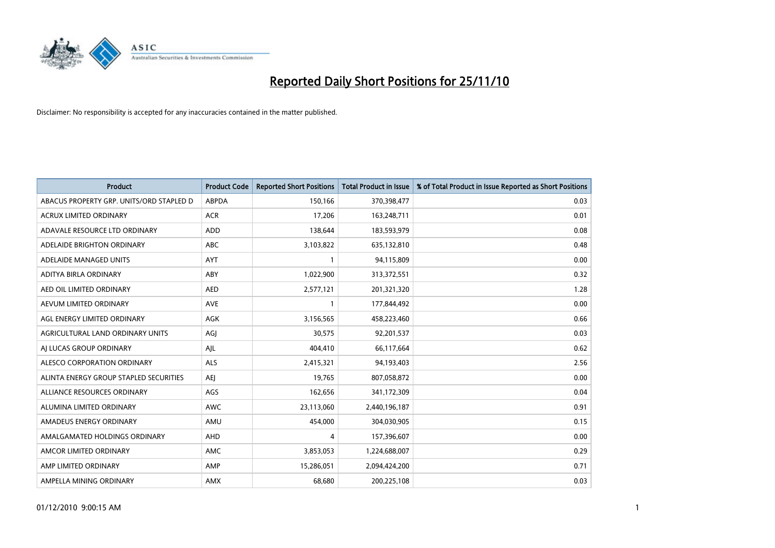

| Product                                  | <b>Product Code</b> | <b>Reported Short Positions</b> | Total Product in Issue | % of Total Product in Issue Reported as Short Positions |
|------------------------------------------|---------------------|---------------------------------|------------------------|---------------------------------------------------------|
| ABACUS PROPERTY GRP. UNITS/ORD STAPLED D | <b>ABPDA</b>        | 150,166                         | 370,398,477            | 0.03                                                    |
| <b>ACRUX LIMITED ORDINARY</b>            | <b>ACR</b>          | 17,206                          | 163,248,711            | 0.01                                                    |
| ADAVALE RESOURCE LTD ORDINARY            | <b>ADD</b>          | 138,644                         | 183,593,979            | 0.08                                                    |
| ADELAIDE BRIGHTON ORDINARY               | <b>ABC</b>          | 3,103,822                       | 635,132,810            | 0.48                                                    |
| ADELAIDE MANAGED UNITS                   | AYT                 |                                 | 94,115,809             | 0.00                                                    |
| ADITYA BIRLA ORDINARY                    | ABY                 | 1,022,900                       | 313,372,551            | 0.32                                                    |
| AED OIL LIMITED ORDINARY                 | <b>AED</b>          | 2,577,121                       | 201,321,320            | 1.28                                                    |
| AEVUM LIMITED ORDINARY                   | <b>AVE</b>          |                                 | 177,844,492            | 0.00                                                    |
| AGL ENERGY LIMITED ORDINARY              | <b>AGK</b>          | 3,156,565                       | 458,223,460            | 0.66                                                    |
| AGRICULTURAL LAND ORDINARY UNITS         | AGI                 | 30,575                          | 92,201,537             | 0.03                                                    |
| AI LUCAS GROUP ORDINARY                  | AJL                 | 404,410                         | 66,117,664             | 0.62                                                    |
| ALESCO CORPORATION ORDINARY              | ALS                 | 2,415,321                       | 94,193,403             | 2.56                                                    |
| ALINTA ENERGY GROUP STAPLED SECURITIES   | <b>AEI</b>          | 19,765                          | 807,058,872            | 0.00                                                    |
| ALLIANCE RESOURCES ORDINARY              | AGS                 | 162,656                         | 341,172,309            | 0.04                                                    |
| ALUMINA LIMITED ORDINARY                 | <b>AWC</b>          | 23,113,060                      | 2,440,196,187          | 0.91                                                    |
| AMADEUS ENERGY ORDINARY                  | AMU                 | 454,000                         | 304,030,905            | 0.15                                                    |
| AMALGAMATED HOLDINGS ORDINARY            | AHD                 | 4                               | 157,396,607            | 0.00                                                    |
| AMCOR LIMITED ORDINARY                   | <b>AMC</b>          | 3,853,053                       | 1,224,688,007          | 0.29                                                    |
| AMP LIMITED ORDINARY                     | AMP                 | 15,286,051                      | 2,094,424,200          | 0.71                                                    |
| AMPELLA MINING ORDINARY                  | <b>AMX</b>          | 68,680                          | 200,225,108            | 0.03                                                    |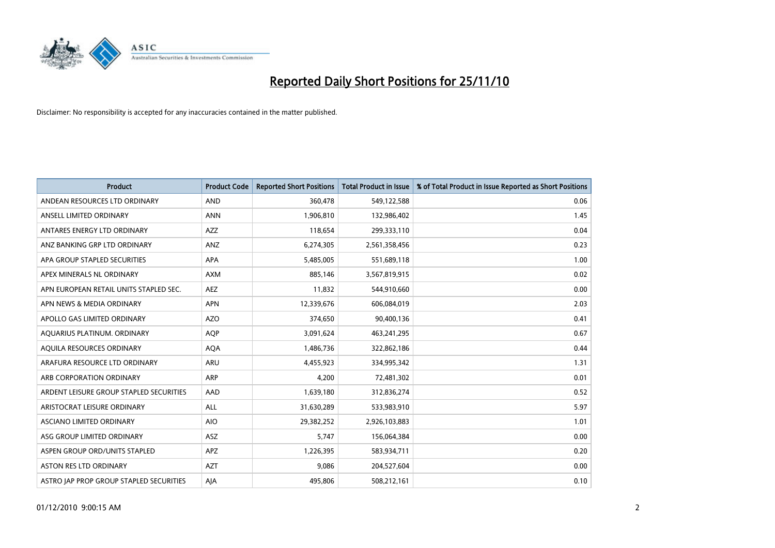

| <b>Product</b>                          | <b>Product Code</b> | <b>Reported Short Positions</b> | Total Product in Issue | % of Total Product in Issue Reported as Short Positions |
|-----------------------------------------|---------------------|---------------------------------|------------------------|---------------------------------------------------------|
| ANDEAN RESOURCES LTD ORDINARY           | <b>AND</b>          | 360,478                         | 549,122,588            | 0.06                                                    |
| ANSELL LIMITED ORDINARY                 | <b>ANN</b>          | 1,906,810                       | 132,986,402            | 1.45                                                    |
| ANTARES ENERGY LTD ORDINARY             | AZZ                 | 118,654                         | 299,333,110            | 0.04                                                    |
| ANZ BANKING GRP LTD ORDINARY            | ANZ                 | 6,274,305                       | 2,561,358,456          | 0.23                                                    |
| APA GROUP STAPLED SECURITIES            | <b>APA</b>          | 5,485,005                       | 551,689,118            | 1.00                                                    |
| APEX MINERALS NL ORDINARY               | <b>AXM</b>          | 885,146                         | 3,567,819,915          | 0.02                                                    |
| APN EUROPEAN RETAIL UNITS STAPLED SEC.  | <b>AEZ</b>          | 11,832                          | 544,910,660            | 0.00                                                    |
| APN NEWS & MEDIA ORDINARY               | <b>APN</b>          | 12,339,676                      | 606,084,019            | 2.03                                                    |
| APOLLO GAS LIMITED ORDINARY             | <b>AZO</b>          | 374,650                         | 90,400,136             | 0.41                                                    |
| AOUARIUS PLATINUM. ORDINARY             | <b>AOP</b>          | 3,091,624                       | 463,241,295            | 0.67                                                    |
| AQUILA RESOURCES ORDINARY               | <b>AQA</b>          | 1,486,736                       | 322,862,186            | 0.44                                                    |
| ARAFURA RESOURCE LTD ORDINARY           | <b>ARU</b>          | 4,455,923                       | 334,995,342            | 1.31                                                    |
| ARB CORPORATION ORDINARY                | ARP                 | 4,200                           | 72,481,302             | 0.01                                                    |
| ARDENT LEISURE GROUP STAPLED SECURITIES | AAD                 | 1,639,180                       | 312,836,274            | 0.52                                                    |
| ARISTOCRAT LEISURE ORDINARY             | ALL                 | 31,630,289                      | 533,983,910            | 5.97                                                    |
| ASCIANO LIMITED ORDINARY                | <b>AIO</b>          | 29,382,252                      | 2,926,103,883          | 1.01                                                    |
| ASG GROUP LIMITED ORDINARY              | <b>ASZ</b>          | 5,747                           | 156,064,384            | 0.00                                                    |
| ASPEN GROUP ORD/UNITS STAPLED           | <b>APZ</b>          | 1,226,395                       | 583,934,711            | 0.20                                                    |
| <b>ASTON RES LTD ORDINARY</b>           | <b>AZT</b>          | 9,086                           | 204,527,604            | 0.00                                                    |
| ASTRO JAP PROP GROUP STAPLED SECURITIES | AJA                 | 495.806                         | 508,212,161            | 0.10                                                    |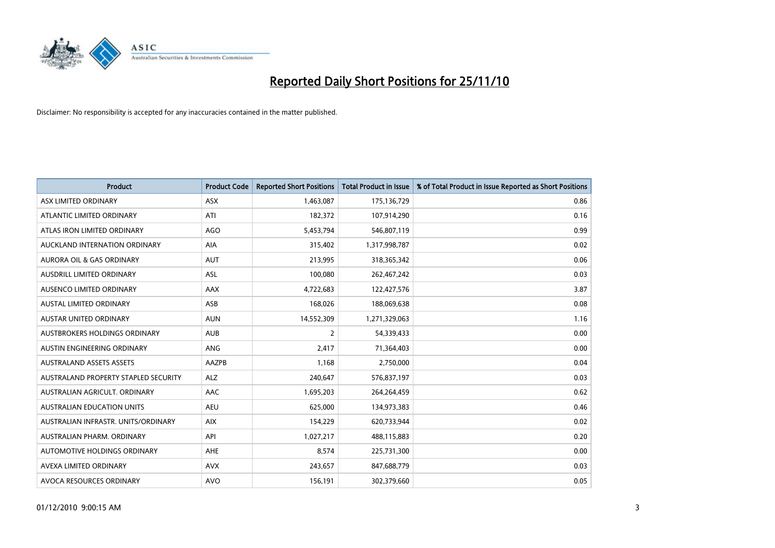

| <b>Product</b>                       | <b>Product Code</b> | <b>Reported Short Positions</b> | Total Product in Issue | % of Total Product in Issue Reported as Short Positions |
|--------------------------------------|---------------------|---------------------------------|------------------------|---------------------------------------------------------|
| ASX LIMITED ORDINARY                 | <b>ASX</b>          | 1,463,087                       | 175,136,729            | 0.86                                                    |
| ATLANTIC LIMITED ORDINARY            | ATI                 | 182,372                         | 107,914,290            | 0.16                                                    |
| ATLAS IRON LIMITED ORDINARY          | <b>AGO</b>          | 5,453,794                       | 546,807,119            | 0.99                                                    |
| AUCKLAND INTERNATION ORDINARY        | AIA                 | 315,402                         | 1,317,998,787          | 0.02                                                    |
| <b>AURORA OIL &amp; GAS ORDINARY</b> | <b>AUT</b>          | 213,995                         | 318,365,342            | 0.06                                                    |
| <b>AUSDRILL LIMITED ORDINARY</b>     | <b>ASL</b>          | 100,080                         | 262,467,242            | 0.03                                                    |
| AUSENCO LIMITED ORDINARY             | AAX                 | 4,722,683                       | 122,427,576            | 3.87                                                    |
| <b>AUSTAL LIMITED ORDINARY</b>       | ASB                 | 168,026                         | 188,069,638            | 0.08                                                    |
| AUSTAR UNITED ORDINARY               | <b>AUN</b>          | 14,552,309                      | 1,271,329,063          | 1.16                                                    |
| AUSTBROKERS HOLDINGS ORDINARY        | <b>AUB</b>          | $\overline{2}$                  | 54,339,433             | 0.00                                                    |
| AUSTIN ENGINEERING ORDINARY          | <b>ANG</b>          | 2,417                           | 71,364,403             | 0.00                                                    |
| <b>AUSTRALAND ASSETS ASSETS</b>      | <b>AAZPB</b>        | 1,168                           | 2,750,000              | 0.04                                                    |
| AUSTRALAND PROPERTY STAPLED SECURITY | <b>ALZ</b>          | 240,647                         | 576,837,197            | 0.03                                                    |
| AUSTRALIAN AGRICULT, ORDINARY        | AAC                 | 1,695,203                       | 264,264,459            | 0.62                                                    |
| <b>AUSTRALIAN EDUCATION UNITS</b>    | <b>AEU</b>          | 625,000                         | 134,973,383            | 0.46                                                    |
| AUSTRALIAN INFRASTR. UNITS/ORDINARY  | <b>AIX</b>          | 154,229                         | 620,733,944            | 0.02                                                    |
| AUSTRALIAN PHARM, ORDINARY           | API                 | 1,027,217                       | 488,115,883            | 0.20                                                    |
| AUTOMOTIVE HOLDINGS ORDINARY         | <b>AHE</b>          | 8,574                           | 225,731,300            | 0.00                                                    |
| AVEXA LIMITED ORDINARY               | <b>AVX</b>          | 243,657                         | 847,688,779            | 0.03                                                    |
| AVOCA RESOURCES ORDINARY             | <b>AVO</b>          | 156,191                         | 302,379,660            | 0.05                                                    |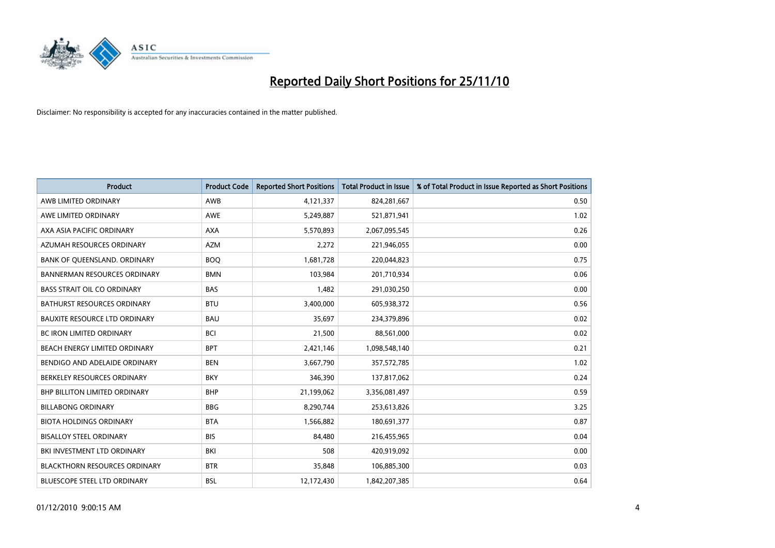

| <b>Product</b>                       | <b>Product Code</b> | <b>Reported Short Positions</b> | Total Product in Issue | % of Total Product in Issue Reported as Short Positions |
|--------------------------------------|---------------------|---------------------------------|------------------------|---------------------------------------------------------|
| AWB LIMITED ORDINARY                 | AWB                 | 4,121,337                       | 824,281,667            | 0.50                                                    |
| AWE LIMITED ORDINARY                 | <b>AWE</b>          | 5,249,887                       | 521,871,941            | 1.02                                                    |
| AXA ASIA PACIFIC ORDINARY            | <b>AXA</b>          | 5,570,893                       | 2,067,095,545          | 0.26                                                    |
| AZUMAH RESOURCES ORDINARY            | <b>AZM</b>          | 2,272                           | 221,946,055            | 0.00                                                    |
| BANK OF QUEENSLAND. ORDINARY         | <b>BOO</b>          | 1,681,728                       | 220,044,823            | 0.75                                                    |
| <b>BANNERMAN RESOURCES ORDINARY</b>  | <b>BMN</b>          | 103,984                         | 201,710,934            | 0.06                                                    |
| <b>BASS STRAIT OIL CO ORDINARY</b>   | <b>BAS</b>          | 1.482                           | 291,030,250            | 0.00                                                    |
| <b>BATHURST RESOURCES ORDINARY</b>   | <b>BTU</b>          | 3,400,000                       | 605,938,372            | 0.56                                                    |
| BAUXITE RESOURCE LTD ORDINARY        | <b>BAU</b>          | 35,697                          | 234,379,896            | 0.02                                                    |
| <b>BC IRON LIMITED ORDINARY</b>      | <b>BCI</b>          | 21,500                          | 88,561,000             | 0.02                                                    |
| BEACH ENERGY LIMITED ORDINARY        | <b>BPT</b>          | 2,421,146                       | 1,098,548,140          | 0.21                                                    |
| BENDIGO AND ADELAIDE ORDINARY        | <b>BEN</b>          | 3,667,790                       | 357,572,785            | 1.02                                                    |
| BERKELEY RESOURCES ORDINARY          | <b>BKY</b>          | 346.390                         | 137,817,062            | 0.24                                                    |
| <b>BHP BILLITON LIMITED ORDINARY</b> | <b>BHP</b>          | 21,199,062                      | 3,356,081,497          | 0.59                                                    |
| <b>BILLABONG ORDINARY</b>            | <b>BBG</b>          | 8,290,744                       | 253,613,826            | 3.25                                                    |
| <b>BIOTA HOLDINGS ORDINARY</b>       | <b>BTA</b>          | 1,566,882                       | 180,691,377            | 0.87                                                    |
| <b>BISALLOY STEEL ORDINARY</b>       | <b>BIS</b>          | 84,480                          | 216,455,965            | 0.04                                                    |
| BKI INVESTMENT LTD ORDINARY          | BKI                 | 508                             | 420,919,092            | 0.00                                                    |
| <b>BLACKTHORN RESOURCES ORDINARY</b> | <b>BTR</b>          | 35,848                          | 106,885,300            | 0.03                                                    |
| <b>BLUESCOPE STEEL LTD ORDINARY</b>  | <b>BSL</b>          | 12,172,430                      | 1,842,207,385          | 0.64                                                    |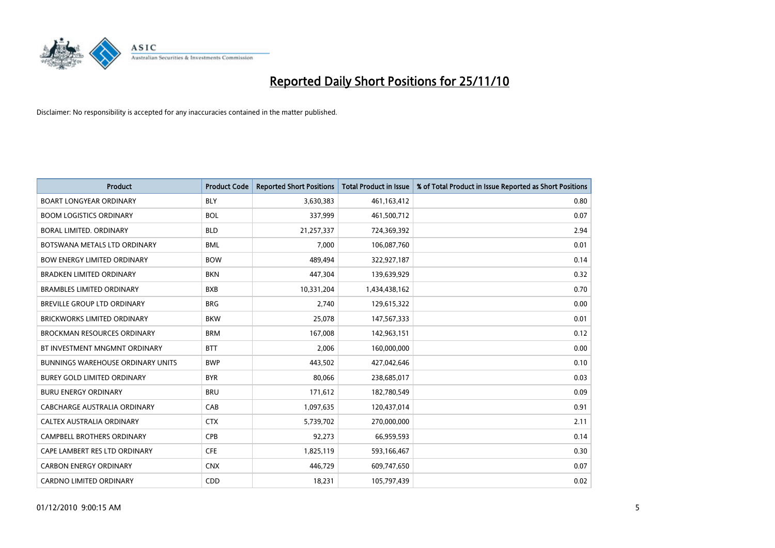

| <b>Product</b>                           | <b>Product Code</b> | <b>Reported Short Positions</b> | <b>Total Product in Issue</b> | % of Total Product in Issue Reported as Short Positions |
|------------------------------------------|---------------------|---------------------------------|-------------------------------|---------------------------------------------------------|
| <b>BOART LONGYEAR ORDINARY</b>           | <b>BLY</b>          | 3,630,383                       | 461,163,412                   | 0.80                                                    |
| <b>BOOM LOGISTICS ORDINARY</b>           | <b>BOL</b>          | 337,999                         | 461,500,712                   | 0.07                                                    |
| <b>BORAL LIMITED, ORDINARY</b>           | <b>BLD</b>          | 21,257,337                      | 724,369,392                   | 2.94                                                    |
| BOTSWANA METALS LTD ORDINARY             | <b>BML</b>          | 7,000                           | 106,087,760                   | 0.01                                                    |
| <b>BOW ENERGY LIMITED ORDINARY</b>       | <b>BOW</b>          | 489.494                         | 322,927,187                   | 0.14                                                    |
| <b>BRADKEN LIMITED ORDINARY</b>          | <b>BKN</b>          | 447,304                         | 139,639,929                   | 0.32                                                    |
| <b>BRAMBLES LIMITED ORDINARY</b>         | <b>BXB</b>          | 10,331,204                      | 1,434,438,162                 | 0.70                                                    |
| <b>BREVILLE GROUP LTD ORDINARY</b>       | <b>BRG</b>          | 2,740                           | 129,615,322                   | 0.00                                                    |
| <b>BRICKWORKS LIMITED ORDINARY</b>       | <b>BKW</b>          | 25,078                          | 147,567,333                   | 0.01                                                    |
| <b>BROCKMAN RESOURCES ORDINARY</b>       | <b>BRM</b>          | 167,008                         | 142,963,151                   | 0.12                                                    |
| BT INVESTMENT MNGMNT ORDINARY            | <b>BTT</b>          | 2,006                           | 160,000,000                   | 0.00                                                    |
| <b>BUNNINGS WAREHOUSE ORDINARY UNITS</b> | <b>BWP</b>          | 443,502                         | 427,042,646                   | 0.10                                                    |
| <b>BUREY GOLD LIMITED ORDINARY</b>       | <b>BYR</b>          | 80,066                          | 238,685,017                   | 0.03                                                    |
| <b>BURU ENERGY ORDINARY</b>              | <b>BRU</b>          | 171,612                         | 182,780,549                   | 0.09                                                    |
| CABCHARGE AUSTRALIA ORDINARY             | CAB                 | 1,097,635                       | 120,437,014                   | 0.91                                                    |
| CALTEX AUSTRALIA ORDINARY                | <b>CTX</b>          | 5,739,702                       | 270,000,000                   | 2.11                                                    |
| <b>CAMPBELL BROTHERS ORDINARY</b>        | CPB                 | 92,273                          | 66,959,593                    | 0.14                                                    |
| CAPE LAMBERT RES LTD ORDINARY            | <b>CFE</b>          | 1,825,119                       | 593,166,467                   | 0.30                                                    |
| <b>CARBON ENERGY ORDINARY</b>            | <b>CNX</b>          | 446,729                         | 609,747,650                   | 0.07                                                    |
| <b>CARDNO LIMITED ORDINARY</b>           | CDD                 | 18,231                          | 105,797,439                   | 0.02                                                    |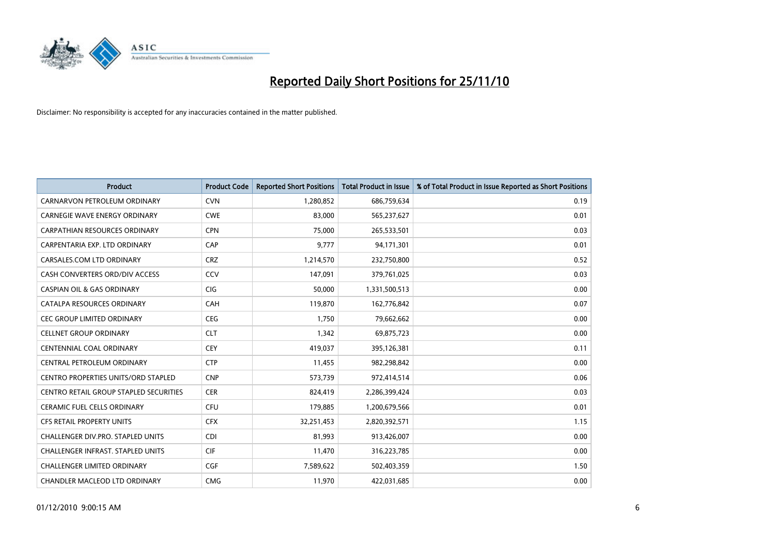

| <b>Product</b>                                | <b>Product Code</b> | <b>Reported Short Positions</b> | Total Product in Issue | % of Total Product in Issue Reported as Short Positions |
|-----------------------------------------------|---------------------|---------------------------------|------------------------|---------------------------------------------------------|
| CARNARVON PETROLEUM ORDINARY                  | <b>CVN</b>          | 1,280,852                       | 686,759,634            | 0.19                                                    |
| CARNEGIE WAVE ENERGY ORDINARY                 | <b>CWE</b>          | 83,000                          | 565,237,627            | 0.01                                                    |
| CARPATHIAN RESOURCES ORDINARY                 | <b>CPN</b>          | 75,000                          | 265,533,501            | 0.03                                                    |
| CARPENTARIA EXP. LTD ORDINARY                 | CAP                 | 9,777                           | 94,171,301             | 0.01                                                    |
| CARSALES.COM LTD ORDINARY                     | <b>CRZ</b>          | 1,214,570                       | 232,750,800            | 0.52                                                    |
| CASH CONVERTERS ORD/DIV ACCESS                | CCV                 | 147,091                         | 379,761,025            | 0.03                                                    |
| <b>CASPIAN OIL &amp; GAS ORDINARY</b>         | <b>CIG</b>          | 50,000                          | 1,331,500,513          | 0.00                                                    |
| CATALPA RESOURCES ORDINARY                    | CAH                 | 119,870                         | 162,776,842            | 0.07                                                    |
| CEC GROUP LIMITED ORDINARY                    | <b>CEG</b>          | 1,750                           | 79,662,662             | 0.00                                                    |
| <b>CELLNET GROUP ORDINARY</b>                 | <b>CLT</b>          | 1,342                           | 69,875,723             | 0.00                                                    |
| CENTENNIAL COAL ORDINARY                      | <b>CEY</b>          | 419,037                         | 395,126,381            | 0.11                                                    |
| CENTRAL PETROLEUM ORDINARY                    | <b>CTP</b>          | 11,455                          | 982,298,842            | 0.00                                                    |
| <b>CENTRO PROPERTIES UNITS/ORD STAPLED</b>    | <b>CNP</b>          | 573,739                         | 972,414,514            | 0.06                                                    |
| <b>CENTRO RETAIL GROUP STAPLED SECURITIES</b> | <b>CER</b>          | 824,419                         | 2,286,399,424          | 0.03                                                    |
| <b>CERAMIC FUEL CELLS ORDINARY</b>            | <b>CFU</b>          | 179,885                         | 1,200,679,566          | 0.01                                                    |
| CFS RETAIL PROPERTY UNITS                     | <b>CFX</b>          | 32,251,453                      | 2,820,392,571          | 1.15                                                    |
| <b>CHALLENGER DIV.PRO. STAPLED UNITS</b>      | <b>CDI</b>          | 81,993                          | 913,426,007            | 0.00                                                    |
| CHALLENGER INFRAST. STAPLED UNITS             | <b>CIF</b>          | 11,470                          | 316,223,785            | 0.00                                                    |
| <b>CHALLENGER LIMITED ORDINARY</b>            | <b>CGF</b>          | 7,589,622                       | 502,403,359            | 1.50                                                    |
| CHANDLER MACLEOD LTD ORDINARY                 | <b>CMG</b>          | 11,970                          | 422,031,685            | 0.00                                                    |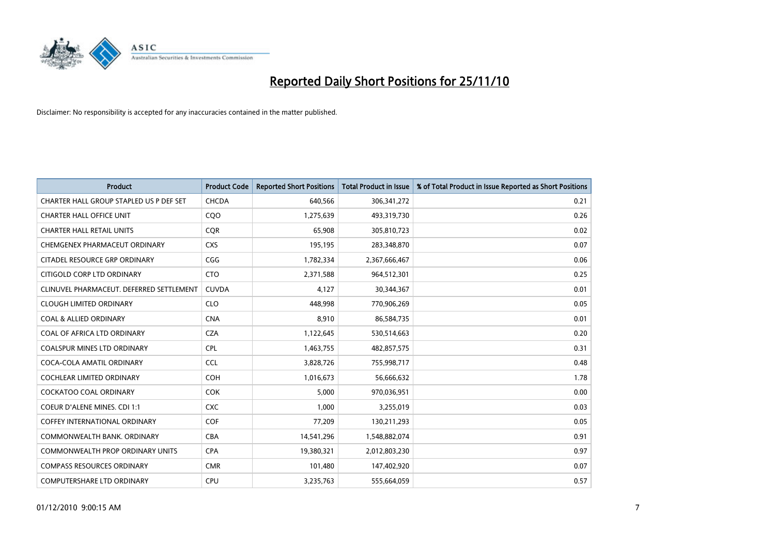

| <b>Product</b>                           | <b>Product Code</b> | <b>Reported Short Positions</b> | Total Product in Issue | % of Total Product in Issue Reported as Short Positions |
|------------------------------------------|---------------------|---------------------------------|------------------------|---------------------------------------------------------|
| CHARTER HALL GROUP STAPLED US P DEF SET  | CHCDA               | 640,566                         | 306, 341, 272          | 0.21                                                    |
| <b>CHARTER HALL OFFICE UNIT</b>          | CQ <sub>O</sub>     | 1,275,639                       | 493,319,730            | 0.26                                                    |
| <b>CHARTER HALL RETAIL UNITS</b>         | <b>COR</b>          | 65,908                          | 305,810,723            | 0.02                                                    |
| CHEMGENEX PHARMACEUT ORDINARY            | <b>CXS</b>          | 195,195                         | 283,348,870            | 0.07                                                    |
| CITADEL RESOURCE GRP ORDINARY            | CGG                 | 1,782,334                       | 2,367,666,467          | 0.06                                                    |
| CITIGOLD CORP LTD ORDINARY               | <b>CTO</b>          | 2,371,588                       | 964,512,301            | 0.25                                                    |
| CLINUVEL PHARMACEUT. DEFERRED SETTLEMENT | <b>CUVDA</b>        | 4,127                           | 30,344,367             | 0.01                                                    |
| <b>CLOUGH LIMITED ORDINARY</b>           | <b>CLO</b>          | 448,998                         | 770,906,269            | 0.05                                                    |
| <b>COAL &amp; ALLIED ORDINARY</b>        | <b>CNA</b>          | 8,910                           | 86,584,735             | 0.01                                                    |
| COAL OF AFRICA LTD ORDINARY              | <b>CZA</b>          | 1,122,645                       | 530,514,663            | 0.20                                                    |
| <b>COALSPUR MINES LTD ORDINARY</b>       | <b>CPL</b>          | 1,463,755                       | 482,857,575            | 0.31                                                    |
| COCA-COLA AMATIL ORDINARY                | <b>CCL</b>          | 3,828,726                       | 755,998,717            | 0.48                                                    |
| <b>COCHLEAR LIMITED ORDINARY</b>         | <b>COH</b>          | 1,016,673                       | 56,666,632             | 1.78                                                    |
| <b>COCKATOO COAL ORDINARY</b>            | <b>COK</b>          | 5,000                           | 970,036,951            | 0.00                                                    |
| <b>COEUR D'ALENE MINES. CDI 1:1</b>      | <b>CXC</b>          | 1,000                           | 3,255,019              | 0.03                                                    |
| <b>COFFEY INTERNATIONAL ORDINARY</b>     | <b>COF</b>          | 77,209                          | 130,211,293            | 0.05                                                    |
| COMMONWEALTH BANK, ORDINARY              | <b>CBA</b>          | 14,541,296                      | 1,548,882,074          | 0.91                                                    |
| COMMONWEALTH PROP ORDINARY UNITS         | <b>CPA</b>          | 19,380,321                      | 2,012,803,230          | 0.97                                                    |
| <b>COMPASS RESOURCES ORDINARY</b>        | <b>CMR</b>          | 101,480                         | 147,402,920            | 0.07                                                    |
| COMPUTERSHARE LTD ORDINARY               | <b>CPU</b>          | 3,235,763                       | 555,664,059            | 0.57                                                    |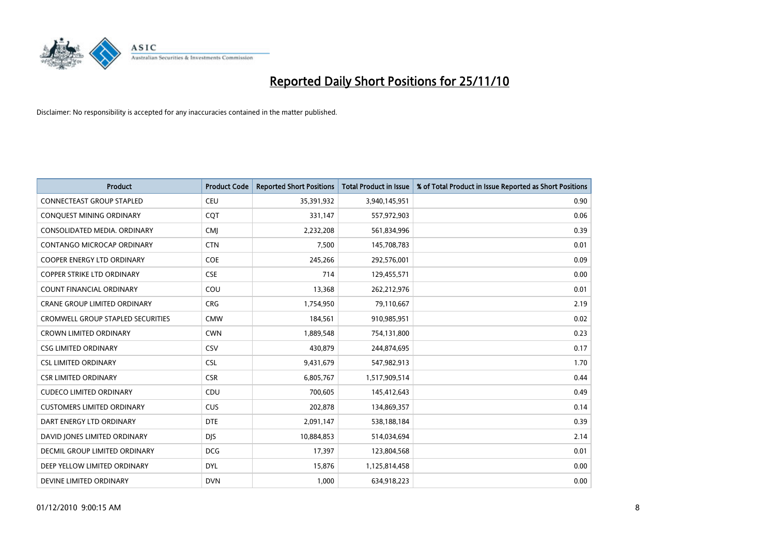

| <b>Product</b>                       | <b>Product Code</b> | <b>Reported Short Positions</b> | <b>Total Product in Issue</b> | % of Total Product in Issue Reported as Short Positions |
|--------------------------------------|---------------------|---------------------------------|-------------------------------|---------------------------------------------------------|
| <b>CONNECTEAST GROUP STAPLED</b>     | <b>CEU</b>          | 35,391,932                      | 3,940,145,951                 | 0.90                                                    |
| CONQUEST MINING ORDINARY             | <b>COT</b>          | 331,147                         | 557,972,903                   | 0.06                                                    |
| CONSOLIDATED MEDIA, ORDINARY         | <b>CMI</b>          | 2,232,208                       | 561,834,996                   | 0.39                                                    |
| CONTANGO MICROCAP ORDINARY           | <b>CTN</b>          | 7,500                           | 145,708,783                   | 0.01                                                    |
| <b>COOPER ENERGY LTD ORDINARY</b>    | <b>COE</b>          | 245,266                         | 292,576,001                   | 0.09                                                    |
| <b>COPPER STRIKE LTD ORDINARY</b>    | <b>CSE</b>          | 714                             | 129,455,571                   | 0.00                                                    |
| <b>COUNT FINANCIAL ORDINARY</b>      | COU                 | 13,368                          | 262,212,976                   | 0.01                                                    |
| <b>CRANE GROUP LIMITED ORDINARY</b>  | <b>CRG</b>          | 1,754,950                       | 79,110,667                    | 2.19                                                    |
| CROMWELL GROUP STAPLED SECURITIES    | <b>CMW</b>          | 184,561                         | 910,985,951                   | 0.02                                                    |
| <b>CROWN LIMITED ORDINARY</b>        | <b>CWN</b>          | 1,889,548                       | 754,131,800                   | 0.23                                                    |
| <b>CSG LIMITED ORDINARY</b>          | <b>CSV</b>          | 430,879                         | 244,874,695                   | 0.17                                                    |
| <b>CSL LIMITED ORDINARY</b>          | <b>CSL</b>          | 9,431,679                       | 547,982,913                   | 1.70                                                    |
| <b>CSR LIMITED ORDINARY</b>          | <b>CSR</b>          | 6,805,767                       | 1,517,909,514                 | 0.44                                                    |
| <b>CUDECO LIMITED ORDINARY</b>       | CDU                 | 700,605                         | 145,412,643                   | 0.49                                                    |
| <b>CUSTOMERS LIMITED ORDINARY</b>    | <b>CUS</b>          | 202,878                         | 134,869,357                   | 0.14                                                    |
| DART ENERGY LTD ORDINARY             | <b>DTE</b>          | 2,091,147                       | 538,188,184                   | 0.39                                                    |
| DAVID JONES LIMITED ORDINARY         | <b>DJS</b>          | 10,884,853                      | 514,034,694                   | 2.14                                                    |
| <b>DECMIL GROUP LIMITED ORDINARY</b> | <b>DCG</b>          | 17,397                          | 123,804,568                   | 0.01                                                    |
| DEEP YELLOW LIMITED ORDINARY         | <b>DYL</b>          | 15,876                          | 1,125,814,458                 | 0.00                                                    |
| DEVINE LIMITED ORDINARY              | <b>DVN</b>          | 1,000                           | 634,918,223                   | 0.00                                                    |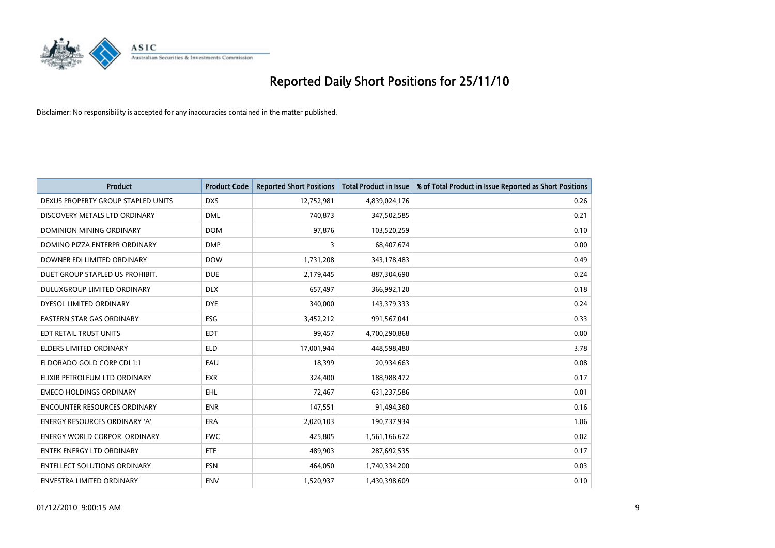

| <b>Product</b>                       | <b>Product Code</b> | <b>Reported Short Positions</b> | <b>Total Product in Issue</b> | % of Total Product in Issue Reported as Short Positions |
|--------------------------------------|---------------------|---------------------------------|-------------------------------|---------------------------------------------------------|
| DEXUS PROPERTY GROUP STAPLED UNITS   | <b>DXS</b>          | 12,752,981                      | 4,839,024,176                 | 0.26                                                    |
| DISCOVERY METALS LTD ORDINARY        | <b>DML</b>          | 740,873                         | 347,502,585                   | 0.21                                                    |
| DOMINION MINING ORDINARY             | <b>DOM</b>          | 97,876                          | 103,520,259                   | 0.10                                                    |
| DOMINO PIZZA ENTERPR ORDINARY        | <b>DMP</b>          | 3                               | 68,407,674                    | 0.00                                                    |
| DOWNER EDI LIMITED ORDINARY          | <b>DOW</b>          | 1,731,208                       | 343,178,483                   | 0.49                                                    |
| DUET GROUP STAPLED US PROHIBIT.      | <b>DUE</b>          | 2,179,445                       | 887,304,690                   | 0.24                                                    |
| <b>DULUXGROUP LIMITED ORDINARY</b>   | <b>DLX</b>          | 657,497                         | 366,992,120                   | 0.18                                                    |
| DYESOL LIMITED ORDINARY              | <b>DYE</b>          | 340,000                         | 143,379,333                   | 0.24                                                    |
| EASTERN STAR GAS ORDINARY            | ESG                 | 3,452,212                       | 991,567,041                   | 0.33                                                    |
| EDT RETAIL TRUST UNITS               | <b>EDT</b>          | 99,457                          | 4,700,290,868                 | 0.00                                                    |
| <b>ELDERS LIMITED ORDINARY</b>       | <b>ELD</b>          | 17,001,944                      | 448,598,480                   | 3.78                                                    |
| ELDORADO GOLD CORP CDI 1:1           | EAU                 | 18,399                          | 20,934,663                    | 0.08                                                    |
| ELIXIR PETROLEUM LTD ORDINARY        | <b>EXR</b>          | 324,400                         | 188,988,472                   | 0.17                                                    |
| <b>EMECO HOLDINGS ORDINARY</b>       | <b>EHL</b>          | 72,467                          | 631,237,586                   | 0.01                                                    |
| <b>ENCOUNTER RESOURCES ORDINARY</b>  | <b>ENR</b>          | 147,551                         | 91,494,360                    | 0.16                                                    |
| ENERGY RESOURCES ORDINARY 'A'        | <b>ERA</b>          | 2,020,103                       | 190,737,934                   | 1.06                                                    |
| <b>ENERGY WORLD CORPOR, ORDINARY</b> | <b>EWC</b>          | 425,805                         | 1,561,166,672                 | 0.02                                                    |
| <b>ENTEK ENERGY LTD ORDINARY</b>     | <b>ETE</b>          | 489,903                         | 287,692,535                   | 0.17                                                    |
| <b>ENTELLECT SOLUTIONS ORDINARY</b>  | <b>ESN</b>          | 464,050                         | 1,740,334,200                 | 0.03                                                    |
| <b>ENVESTRA LIMITED ORDINARY</b>     | <b>ENV</b>          | 1,520,937                       | 1,430,398,609                 | 0.10                                                    |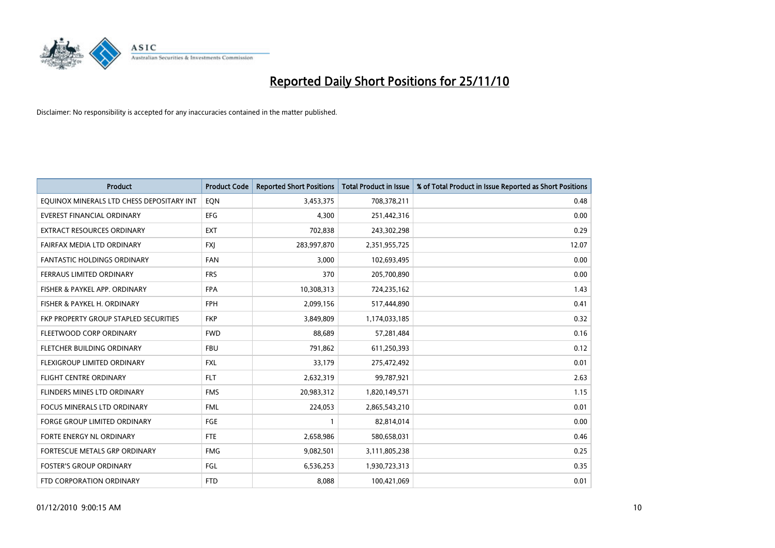

| Product                                   | <b>Product Code</b> | <b>Reported Short Positions</b> | <b>Total Product in Issue</b> | % of Total Product in Issue Reported as Short Positions |
|-------------------------------------------|---------------------|---------------------------------|-------------------------------|---------------------------------------------------------|
| EQUINOX MINERALS LTD CHESS DEPOSITARY INT | EON                 | 3,453,375                       | 708,378,211                   | 0.48                                                    |
| EVEREST FINANCIAL ORDINARY                | <b>EFG</b>          | 4,300                           | 251,442,316                   | 0.00                                                    |
| EXTRACT RESOURCES ORDINARY                | <b>EXT</b>          | 702,838                         | 243,302,298                   | 0.29                                                    |
| FAIRFAX MEDIA LTD ORDINARY                | <b>FXI</b>          | 283,997,870                     | 2,351,955,725                 | 12.07                                                   |
| <b>FANTASTIC HOLDINGS ORDINARY</b>        | <b>FAN</b>          | 3,000                           | 102,693,495                   | 0.00                                                    |
| FERRAUS LIMITED ORDINARY                  | <b>FRS</b>          | 370                             | 205,700,890                   | 0.00                                                    |
| FISHER & PAYKEL APP. ORDINARY             | <b>FPA</b>          | 10,308,313                      | 724,235,162                   | 1.43                                                    |
| FISHER & PAYKEL H. ORDINARY               | <b>FPH</b>          | 2,099,156                       | 517,444,890                   | 0.41                                                    |
| FKP PROPERTY GROUP STAPLED SECURITIES     | <b>FKP</b>          | 3,849,809                       | 1,174,033,185                 | 0.32                                                    |
| FLEETWOOD CORP ORDINARY                   | <b>FWD</b>          | 88,689                          | 57,281,484                    | 0.16                                                    |
| FLETCHER BUILDING ORDINARY                | <b>FBU</b>          | 791,862                         | 611,250,393                   | 0.12                                                    |
| FLEXIGROUP LIMITED ORDINARY               | <b>FXL</b>          | 33,179                          | 275,472,492                   | 0.01                                                    |
| <b>FLIGHT CENTRE ORDINARY</b>             | <b>FLT</b>          | 2,632,319                       | 99,787,921                    | 2.63                                                    |
| FLINDERS MINES LTD ORDINARY               | <b>FMS</b>          | 20,983,312                      | 1,820,149,571                 | 1.15                                                    |
| FOCUS MINERALS LTD ORDINARY               | <b>FML</b>          | 224,053                         | 2,865,543,210                 | 0.01                                                    |
| <b>FORGE GROUP LIMITED ORDINARY</b>       | FGE                 |                                 | 82,814,014                    | 0.00                                                    |
| FORTE ENERGY NL ORDINARY                  | <b>FTE</b>          | 2,658,986                       | 580,658,031                   | 0.46                                                    |
| FORTESCUE METALS GRP ORDINARY             | <b>FMG</b>          | 9,082,501                       | 3,111,805,238                 | 0.25                                                    |
| <b>FOSTER'S GROUP ORDINARY</b>            | FGL                 | 6,536,253                       | 1,930,723,313                 | 0.35                                                    |
| FTD CORPORATION ORDINARY                  | <b>FTD</b>          | 8,088                           | 100,421,069                   | 0.01                                                    |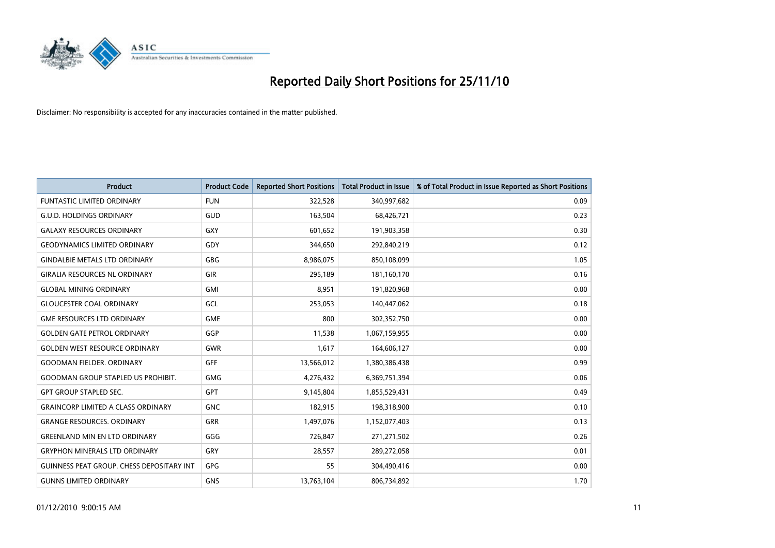

| <b>Product</b>                                   | <b>Product Code</b> | <b>Reported Short Positions</b> | Total Product in Issue | % of Total Product in Issue Reported as Short Positions |
|--------------------------------------------------|---------------------|---------------------------------|------------------------|---------------------------------------------------------|
| <b>FUNTASTIC LIMITED ORDINARY</b>                | <b>FUN</b>          | 322,528                         | 340,997,682            | 0.09                                                    |
| <b>G.U.D. HOLDINGS ORDINARY</b>                  | <b>GUD</b>          | 163,504                         | 68,426,721             | 0.23                                                    |
| <b>GALAXY RESOURCES ORDINARY</b>                 | <b>GXY</b>          | 601,652                         | 191,903,358            | 0.30                                                    |
| <b>GEODYNAMICS LIMITED ORDINARY</b>              | GDY                 | 344,650                         | 292,840,219            | 0.12                                                    |
| <b>GINDALBIE METALS LTD ORDINARY</b>             | GBG                 | 8,986,075                       | 850,108,099            | 1.05                                                    |
| <b>GIRALIA RESOURCES NL ORDINARY</b>             | GIR                 | 295,189                         | 181,160,170            | 0.16                                                    |
| <b>GLOBAL MINING ORDINARY</b>                    | <b>GMI</b>          | 8,951                           | 191,820,968            | 0.00                                                    |
| <b>GLOUCESTER COAL ORDINARY</b>                  | GCL                 | 253,053                         | 140,447,062            | 0.18                                                    |
| <b>GME RESOURCES LTD ORDINARY</b>                | <b>GME</b>          | 800                             | 302,352,750            | 0.00                                                    |
| <b>GOLDEN GATE PETROL ORDINARY</b>               | GGP                 | 11,538                          | 1,067,159,955          | 0.00                                                    |
| <b>GOLDEN WEST RESOURCE ORDINARY</b>             | <b>GWR</b>          | 1,617                           | 164,606,127            | 0.00                                                    |
| <b>GOODMAN FIELDER, ORDINARY</b>                 | GFF                 | 13,566,012                      | 1,380,386,438          | 0.99                                                    |
| <b>GOODMAN GROUP STAPLED US PROHIBIT.</b>        | <b>GMG</b>          | 4,276,432                       | 6,369,751,394          | 0.06                                                    |
| <b>GPT GROUP STAPLED SEC.</b>                    | <b>GPT</b>          | 9,145,804                       | 1,855,529,431          | 0.49                                                    |
| <b>GRAINCORP LIMITED A CLASS ORDINARY</b>        | <b>GNC</b>          | 182,915                         | 198,318,900            | 0.10                                                    |
| <b>GRANGE RESOURCES. ORDINARY</b>                | GRR                 | 1,497,076                       | 1,152,077,403          | 0.13                                                    |
| <b>GREENLAND MIN EN LTD ORDINARY</b>             | GGG                 | 726,847                         | 271,271,502            | 0.26                                                    |
| <b>GRYPHON MINERALS LTD ORDINARY</b>             | GRY                 | 28,557                          | 289,272,058            | 0.01                                                    |
| <b>GUINNESS PEAT GROUP. CHESS DEPOSITARY INT</b> | <b>GPG</b>          | 55                              | 304,490,416            | 0.00                                                    |
| <b>GUNNS LIMITED ORDINARY</b>                    | <b>GNS</b>          | 13,763,104                      | 806,734,892            | 1.70                                                    |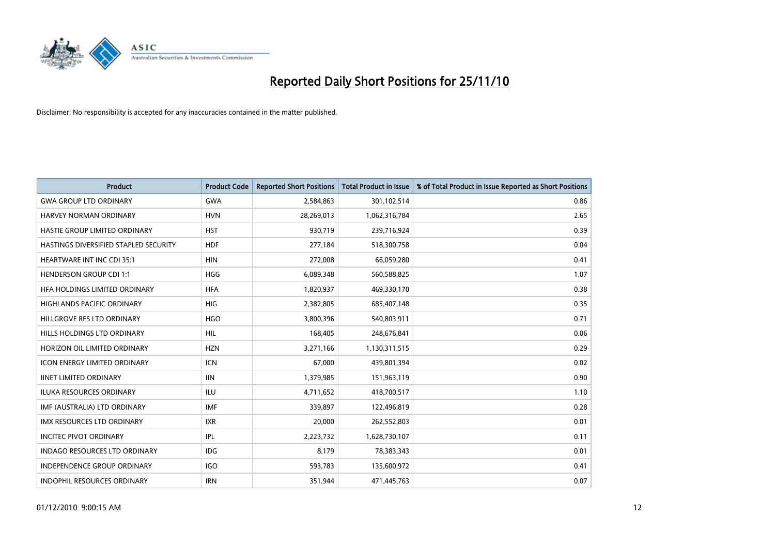

| <b>Product</b>                        | <b>Product Code</b> | <b>Reported Short Positions</b> | Total Product in Issue | % of Total Product in Issue Reported as Short Positions |
|---------------------------------------|---------------------|---------------------------------|------------------------|---------------------------------------------------------|
| <b>GWA GROUP LTD ORDINARY</b>         | <b>GWA</b>          | 2,584,863                       | 301,102,514            | 0.86                                                    |
| HARVEY NORMAN ORDINARY                | <b>HVN</b>          | 28,269,013                      | 1,062,316,784          | 2.65                                                    |
| HASTIE GROUP LIMITED ORDINARY         | <b>HST</b>          | 930,719                         | 239,716,924            | 0.39                                                    |
| HASTINGS DIVERSIFIED STAPLED SECURITY | <b>HDF</b>          | 277,184                         | 518,300,758            | 0.04                                                    |
| <b>HEARTWARE INT INC CDI 35:1</b>     | <b>HIN</b>          | 272,008                         | 66,059,280             | 0.41                                                    |
| <b>HENDERSON GROUP CDI 1:1</b>        | <b>HGG</b>          | 6,089,348                       | 560,588,825            | 1.07                                                    |
| HFA HOLDINGS LIMITED ORDINARY         | <b>HFA</b>          | 1,820,937                       | 469,330,170            | 0.38                                                    |
| <b>HIGHLANDS PACIFIC ORDINARY</b>     | <b>HIG</b>          | 2,382,805                       | 685,407,148            | 0.35                                                    |
| HILLGROVE RES LTD ORDINARY            | <b>HGO</b>          | 3,800,396                       | 540,803,911            | 0.71                                                    |
| HILLS HOLDINGS LTD ORDINARY           | <b>HIL</b>          | 168,405                         | 248,676,841            | 0.06                                                    |
| HORIZON OIL LIMITED ORDINARY          | <b>HZN</b>          | 3,271,166                       | 1,130,311,515          | 0.29                                                    |
| <b>ICON ENERGY LIMITED ORDINARY</b>   | <b>ICN</b>          | 67,000                          | 439,801,394            | 0.02                                                    |
| <b>IINET LIMITED ORDINARY</b>         | <b>IIN</b>          | 1,379,985                       | 151,963,119            | 0.90                                                    |
| <b>ILUKA RESOURCES ORDINARY</b>       | ILU                 | 4,711,652                       | 418,700,517            | 1.10                                                    |
| IMF (AUSTRALIA) LTD ORDINARY          | <b>IMF</b>          | 339,897                         | 122,496,819            | 0.28                                                    |
| <b>IMX RESOURCES LTD ORDINARY</b>     | <b>IXR</b>          | 20,000                          | 262,552,803            | 0.01                                                    |
| <b>INCITEC PIVOT ORDINARY</b>         | IPL                 | 2,223,732                       | 1,628,730,107          | 0.11                                                    |
| INDAGO RESOURCES LTD ORDINARY         | IDG                 | 8,179                           | 78,383,343             | 0.01                                                    |
| <b>INDEPENDENCE GROUP ORDINARY</b>    | <b>IGO</b>          | 593,783                         | 135,600,972            | 0.41                                                    |
| <b>INDOPHIL RESOURCES ORDINARY</b>    | <b>IRN</b>          | 351,944                         | 471,445,763            | 0.07                                                    |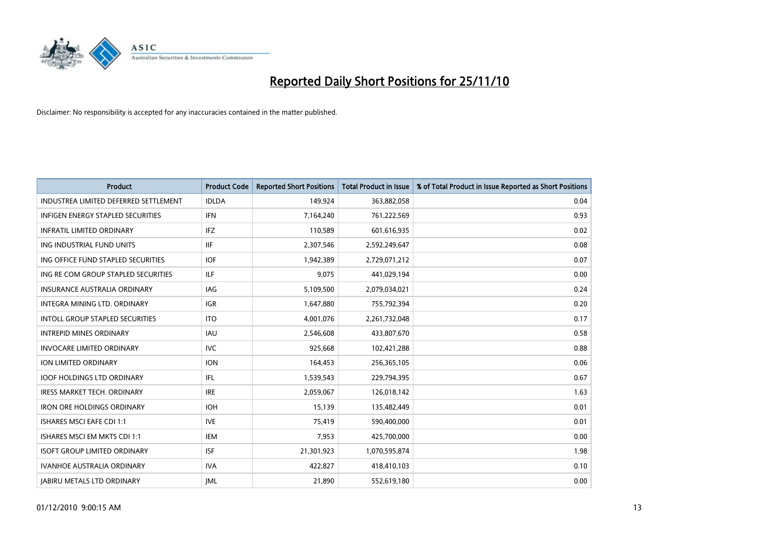

| Product                                | <b>Product Code</b> | <b>Reported Short Positions</b> | Total Product in Issue | % of Total Product in Issue Reported as Short Positions |
|----------------------------------------|---------------------|---------------------------------|------------------------|---------------------------------------------------------|
| INDUSTREA LIMITED DEFERRED SETTLEMENT  | <b>IDLDA</b>        | 149,924                         | 363,882,058            | 0.04                                                    |
| INFIGEN ENERGY STAPLED SECURITIES      | <b>IFN</b>          | 7,164,240                       | 761,222,569            | 0.93                                                    |
| <b>INFRATIL LIMITED ORDINARY</b>       | <b>IFZ</b>          | 110,589                         | 601,616,935            | 0.02                                                    |
| ING INDUSTRIAL FUND UNITS              | <b>IIF</b>          | 2,307,546                       | 2,592,249,647          | 0.08                                                    |
| ING OFFICE FUND STAPLED SECURITIES     | <b>IOF</b>          | 1,942,389                       | 2,729,071,212          | 0.07                                                    |
| ING RE COM GROUP STAPLED SECURITIES    | ILF                 | 9,075                           | 441,029,194            | 0.00                                                    |
| <b>INSURANCE AUSTRALIA ORDINARY</b>    | IAG                 | 5,109,500                       | 2,079,034,021          | 0.24                                                    |
| INTEGRA MINING LTD. ORDINARY           | <b>IGR</b>          | 1,647,880                       | 755,792,394            | 0.20                                                    |
| <b>INTOLL GROUP STAPLED SECURITIES</b> | <b>ITO</b>          | 4,001,076                       | 2,261,732,048          | 0.17                                                    |
| <b>INTREPID MINES ORDINARY</b>         | <b>IAU</b>          | 2,546,608                       | 433,807,670            | 0.58                                                    |
| <b>INVOCARE LIMITED ORDINARY</b>       | <b>IVC</b>          | 925,668                         | 102,421,288            | 0.88                                                    |
| <b>ION LIMITED ORDINARY</b>            | <b>ION</b>          | 164,453                         | 256,365,105            | 0.06                                                    |
| <b>IOOF HOLDINGS LTD ORDINARY</b>      | IFL.                | 1,539,543                       | 229,794,395            | 0.67                                                    |
| <b>IRESS MARKET TECH. ORDINARY</b>     | <b>IRE</b>          | 2,059,067                       | 126,018,142            | 1.63                                                    |
| <b>IRON ORE HOLDINGS ORDINARY</b>      | <b>IOH</b>          | 15,139                          | 135,482,449            | 0.01                                                    |
| <b>ISHARES MSCI EAFE CDI 1:1</b>       | <b>IVE</b>          | 75,419                          | 590,400,000            | 0.01                                                    |
| ISHARES MSCI EM MKTS CDI 1:1           | <b>IEM</b>          | 7,953                           | 425,700,000            | 0.00                                                    |
| <b>ISOFT GROUP LIMITED ORDINARY</b>    | <b>ISF</b>          | 21,301,923                      | 1,070,595,874          | 1.98                                                    |
| <b>IVANHOE AUSTRALIA ORDINARY</b>      | <b>IVA</b>          | 422,827                         | 418,410,103            | 0.10                                                    |
| <b>JABIRU METALS LTD ORDINARY</b>      | <b>JML</b>          | 21,890                          | 552,619,180            | 0.00                                                    |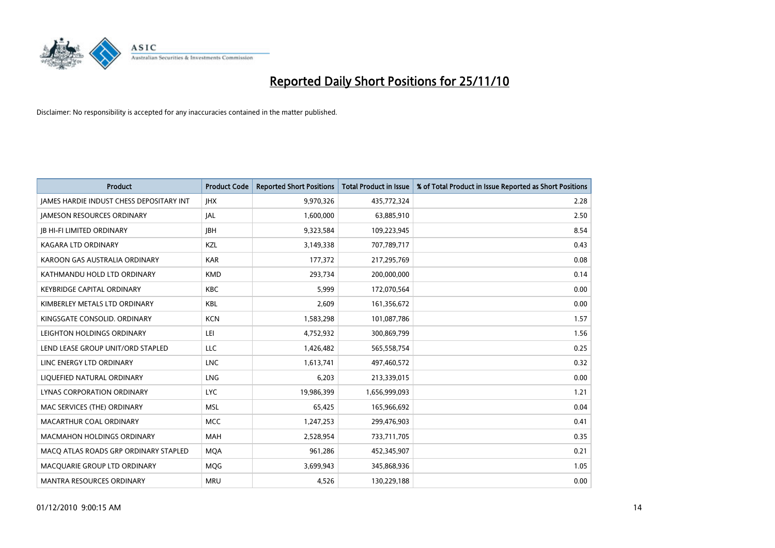

| Product                                         | <b>Product Code</b> | <b>Reported Short Positions</b> | Total Product in Issue | % of Total Product in Issue Reported as Short Positions |
|-------------------------------------------------|---------------------|---------------------------------|------------------------|---------------------------------------------------------|
| <b>JAMES HARDIE INDUST CHESS DEPOSITARY INT</b> | <b>IHX</b>          | 9,970,326                       | 435,772,324            | 2.28                                                    |
| <b>JAMESON RESOURCES ORDINARY</b>               | <b>JAL</b>          | 1,600,000                       | 63,885,910             | 2.50                                                    |
| <b>JB HI-FI LIMITED ORDINARY</b>                | <b>IBH</b>          | 9,323,584                       | 109,223,945            | 8.54                                                    |
| KAGARA LTD ORDINARY                             | KZL                 | 3,149,338                       | 707,789,717            | 0.43                                                    |
| KAROON GAS AUSTRALIA ORDINARY                   | <b>KAR</b>          | 177,372                         | 217,295,769            | 0.08                                                    |
| KATHMANDU HOLD LTD ORDINARY                     | <b>KMD</b>          | 293,734                         | 200,000,000            | 0.14                                                    |
| <b>KEYBRIDGE CAPITAL ORDINARY</b>               | <b>KBC</b>          | 5.999                           | 172,070,564            | 0.00                                                    |
| KIMBERLEY METALS LTD ORDINARY                   | <b>KBL</b>          | 2,609                           | 161,356,672            | 0.00                                                    |
| KINGSGATE CONSOLID. ORDINARY                    | <b>KCN</b>          | 1,583,298                       | 101,087,786            | 1.57                                                    |
| LEIGHTON HOLDINGS ORDINARY                      | LEI                 | 4,752,932                       | 300,869,799            | 1.56                                                    |
| LEND LEASE GROUP UNIT/ORD STAPLED               | <b>LLC</b>          | 1,426,482                       | 565,558,754            | 0.25                                                    |
| LINC ENERGY LTD ORDINARY                        | <b>LNC</b>          | 1,613,741                       | 497,460,572            | 0.32                                                    |
| LIQUEFIED NATURAL ORDINARY                      | LNG                 | 6,203                           | 213,339,015            | 0.00                                                    |
| LYNAS CORPORATION ORDINARY                      | <b>LYC</b>          | 19,986,399                      | 1,656,999,093          | 1.21                                                    |
| MAC SERVICES (THE) ORDINARY                     | <b>MSL</b>          | 65,425                          | 165,966,692            | 0.04                                                    |
| MACARTHUR COAL ORDINARY                         | <b>MCC</b>          | 1,247,253                       | 299,476,903            | 0.41                                                    |
| <b>MACMAHON HOLDINGS ORDINARY</b>               | <b>MAH</b>          | 2,528,954                       | 733,711,705            | 0.35                                                    |
| MACQ ATLAS ROADS GRP ORDINARY STAPLED           | <b>MOA</b>          | 961,286                         | 452,345,907            | 0.21                                                    |
| MACOUARIE GROUP LTD ORDINARY                    | <b>MOG</b>          | 3,699,943                       | 345,868,936            | 1.05                                                    |
| <b>MANTRA RESOURCES ORDINARY</b>                | <b>MRU</b>          | 4.526                           | 130,229,188            | 0.00                                                    |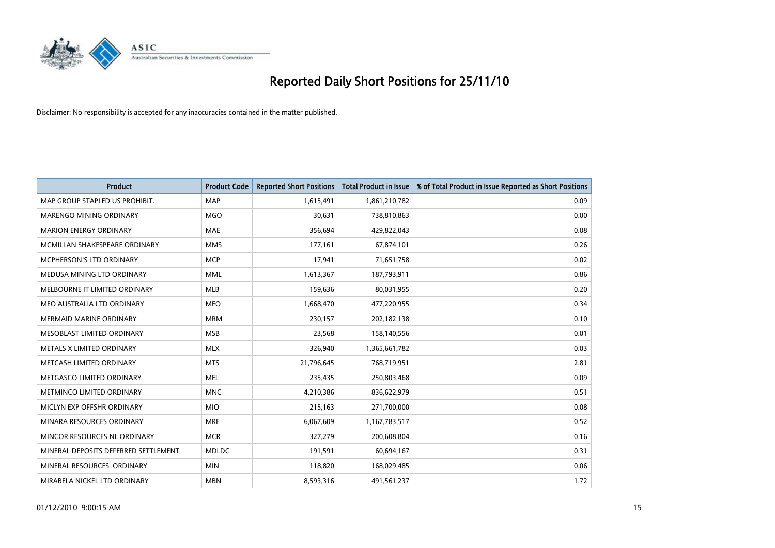

| Product                              | <b>Product Code</b> | <b>Reported Short Positions</b> | Total Product in Issue | % of Total Product in Issue Reported as Short Positions |
|--------------------------------------|---------------------|---------------------------------|------------------------|---------------------------------------------------------|
| MAP GROUP STAPLED US PROHIBIT.       | <b>MAP</b>          | 1,615,491                       | 1,861,210,782          | 0.09                                                    |
| <b>MARENGO MINING ORDINARY</b>       | <b>MGO</b>          | 30,631                          | 738,810,863            | 0.00                                                    |
| <b>MARION ENERGY ORDINARY</b>        | <b>MAE</b>          | 356,694                         | 429,822,043            | 0.08                                                    |
| MCMILLAN SHAKESPEARE ORDINARY        | <b>MMS</b>          | 177,161                         | 67,874,101             | 0.26                                                    |
| <b>MCPHERSON'S LTD ORDINARY</b>      | <b>MCP</b>          | 17,941                          | 71,651,758             | 0.02                                                    |
| MEDUSA MINING LTD ORDINARY           | <b>MML</b>          | 1,613,367                       | 187,793,911            | 0.86                                                    |
| MELBOURNE IT LIMITED ORDINARY        | <b>MLB</b>          | 159,636                         | 80,031,955             | 0.20                                                    |
| MEO AUSTRALIA LTD ORDINARY           | <b>MEO</b>          | 1,668,470                       | 477,220,955            | 0.34                                                    |
| <b>MERMAID MARINE ORDINARY</b>       | <b>MRM</b>          | 230,157                         | 202,182,138            | 0.10                                                    |
| MESOBLAST LIMITED ORDINARY           | <b>MSB</b>          | 23,568                          | 158,140,556            | 0.01                                                    |
| METALS X LIMITED ORDINARY            | <b>MLX</b>          | 326,940                         | 1,365,661,782          | 0.03                                                    |
| METCASH LIMITED ORDINARY             | <b>MTS</b>          | 21,796,645                      | 768,719,951            | 2.81                                                    |
| METGASCO LIMITED ORDINARY            | <b>MEL</b>          | 235,435                         | 250,803,468            | 0.09                                                    |
| METMINCO LIMITED ORDINARY            | <b>MNC</b>          | 4,210,386                       | 836,622,979            | 0.51                                                    |
| MICLYN EXP OFFSHR ORDINARY           | <b>MIO</b>          | 215,163                         | 271,700,000            | 0.08                                                    |
| MINARA RESOURCES ORDINARY            | <b>MRE</b>          | 6,067,609                       | 1,167,783,517          | 0.52                                                    |
| MINCOR RESOURCES NL ORDINARY         | <b>MCR</b>          | 327,279                         | 200,608,804            | 0.16                                                    |
| MINERAL DEPOSITS DEFERRED SETTLEMENT | <b>MDLDC</b>        | 191,591                         | 60,694,167             | 0.31                                                    |
| MINERAL RESOURCES, ORDINARY          | <b>MIN</b>          | 118,820                         | 168,029,485            | 0.06                                                    |
| MIRABELA NICKEL LTD ORDINARY         | <b>MBN</b>          | 8,593,316                       | 491,561,237            | 1.72                                                    |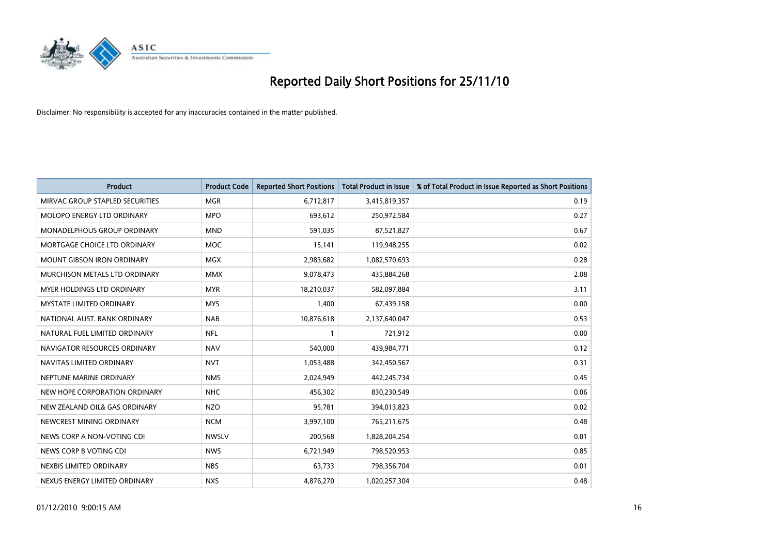

| Product                            | <b>Product Code</b> | <b>Reported Short Positions</b> | <b>Total Product in Issue</b> | % of Total Product in Issue Reported as Short Positions |
|------------------------------------|---------------------|---------------------------------|-------------------------------|---------------------------------------------------------|
| MIRVAC GROUP STAPLED SECURITIES    | <b>MGR</b>          | 6,712,817                       | 3,415,819,357                 | 0.19                                                    |
| MOLOPO ENERGY LTD ORDINARY         | <b>MPO</b>          | 693,612                         | 250,972,584                   | 0.27                                                    |
| <b>MONADELPHOUS GROUP ORDINARY</b> | <b>MND</b>          | 591,035                         | 87,521,827                    | 0.67                                                    |
| MORTGAGE CHOICE LTD ORDINARY       | <b>MOC</b>          | 15,141                          | 119,948,255                   | 0.02                                                    |
| <b>MOUNT GIBSON IRON ORDINARY</b>  | <b>MGX</b>          | 2,983,682                       | 1,082,570,693                 | 0.28                                                    |
| MURCHISON METALS LTD ORDINARY      | <b>MMX</b>          | 9,078,473                       | 435,884,268                   | 2.08                                                    |
| <b>MYER HOLDINGS LTD ORDINARY</b>  | <b>MYR</b>          | 18,210,037                      | 582,097,884                   | 3.11                                                    |
| <b>MYSTATE LIMITED ORDINARY</b>    | <b>MYS</b>          | 1,400                           | 67,439,158                    | 0.00                                                    |
| NATIONAL AUST. BANK ORDINARY       | <b>NAB</b>          | 10,876,618                      | 2,137,640,047                 | 0.53                                                    |
| NATURAL FUEL LIMITED ORDINARY      | <b>NFL</b>          |                                 | 721,912                       | 0.00                                                    |
| NAVIGATOR RESOURCES ORDINARY       | <b>NAV</b>          | 540,000                         | 439,984,771                   | 0.12                                                    |
| NAVITAS LIMITED ORDINARY           | <b>NVT</b>          | 1,053,488                       | 342,450,567                   | 0.31                                                    |
| NEPTUNE MARINE ORDINARY            | <b>NMS</b>          | 2,024,949                       | 442,245,734                   | 0.45                                                    |
| NEW HOPE CORPORATION ORDINARY      | <b>NHC</b>          | 456,302                         | 830,230,549                   | 0.06                                                    |
| NEW ZEALAND OIL& GAS ORDINARY      | <b>NZO</b>          | 95,781                          | 394,013,823                   | 0.02                                                    |
| NEWCREST MINING ORDINARY           | <b>NCM</b>          | 3,997,100                       | 765,211,675                   | 0.48                                                    |
| NEWS CORP A NON-VOTING CDI         | <b>NWSLV</b>        | 200,568                         | 1,828,204,254                 | 0.01                                                    |
| NEWS CORP B VOTING CDI             | <b>NWS</b>          | 6,721,949                       | 798,520,953                   | 0.85                                                    |
| NEXBIS LIMITED ORDINARY            | <b>NBS</b>          | 63,733                          | 798,356,704                   | 0.01                                                    |
| NEXUS ENERGY LIMITED ORDINARY      | <b>NXS</b>          | 4,876,270                       | 1,020,257,304                 | 0.48                                                    |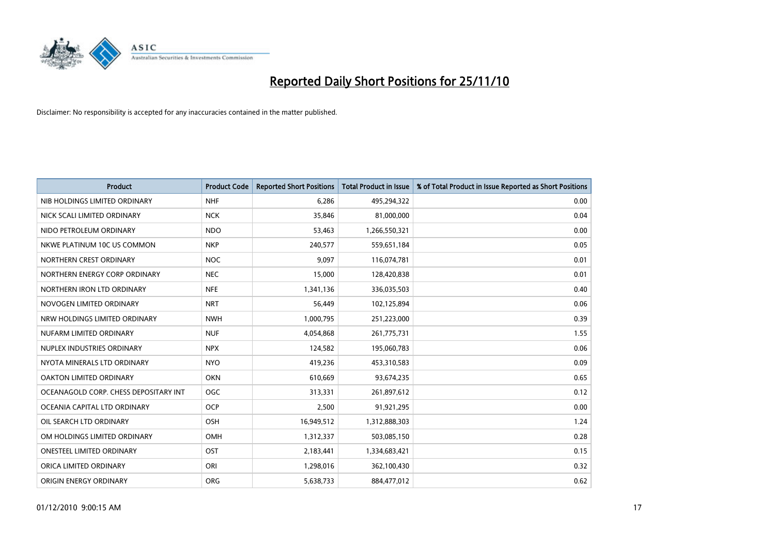

| <b>Product</b>                        | <b>Product Code</b> | <b>Reported Short Positions</b> | Total Product in Issue | % of Total Product in Issue Reported as Short Positions |
|---------------------------------------|---------------------|---------------------------------|------------------------|---------------------------------------------------------|
| NIB HOLDINGS LIMITED ORDINARY         | <b>NHF</b>          | 6,286                           | 495,294,322            | 0.00                                                    |
| NICK SCALI LIMITED ORDINARY           | <b>NCK</b>          | 35,846                          | 81,000,000             | 0.04                                                    |
| NIDO PETROLEUM ORDINARY               | <b>NDO</b>          | 53,463                          | 1,266,550,321          | 0.00                                                    |
| NKWE PLATINUM 10C US COMMON           | <b>NKP</b>          | 240,577                         | 559,651,184            | 0.05                                                    |
| NORTHERN CREST ORDINARY               | <b>NOC</b>          | 9.097                           | 116,074,781            | 0.01                                                    |
| NORTHERN ENERGY CORP ORDINARY         | <b>NEC</b>          | 15,000                          | 128,420,838            | 0.01                                                    |
| NORTHERN IRON LTD ORDINARY            | <b>NFE</b>          | 1,341,136                       | 336,035,503            | 0.40                                                    |
| NOVOGEN LIMITED ORDINARY              | <b>NRT</b>          | 56,449                          | 102,125,894            | 0.06                                                    |
| NRW HOLDINGS LIMITED ORDINARY         | <b>NWH</b>          | 1,000,795                       | 251,223,000            | 0.39                                                    |
| NUFARM LIMITED ORDINARY               | <b>NUF</b>          | 4,054,868                       | 261,775,731            | 1.55                                                    |
| NUPLEX INDUSTRIES ORDINARY            | <b>NPX</b>          | 124,582                         | 195,060,783            | 0.06                                                    |
| NYOTA MINERALS LTD ORDINARY           | <b>NYO</b>          | 419,236                         | 453,310,583            | 0.09                                                    |
| OAKTON LIMITED ORDINARY               | <b>OKN</b>          | 610,669                         | 93,674,235             | 0.65                                                    |
| OCEANAGOLD CORP. CHESS DEPOSITARY INT | <b>OGC</b>          | 313,331                         | 261,897,612            | 0.12                                                    |
| OCEANIA CAPITAL LTD ORDINARY          | <b>OCP</b>          | 2,500                           | 91,921,295             | 0.00                                                    |
| OIL SEARCH LTD ORDINARY               | <b>OSH</b>          | 16,949,512                      | 1,312,888,303          | 1.24                                                    |
| OM HOLDINGS LIMITED ORDINARY          | OMH                 | 1,312,337                       | 503,085,150            | 0.28                                                    |
| ONESTEEL LIMITED ORDINARY             | <b>OST</b>          | 2,183,441                       | 1,334,683,421          | 0.15                                                    |
| ORICA LIMITED ORDINARY                | ORI                 | 1,298,016                       | 362,100,430            | 0.32                                                    |
| ORIGIN ENERGY ORDINARY                | <b>ORG</b>          | 5,638,733                       | 884.477.012            | 0.62                                                    |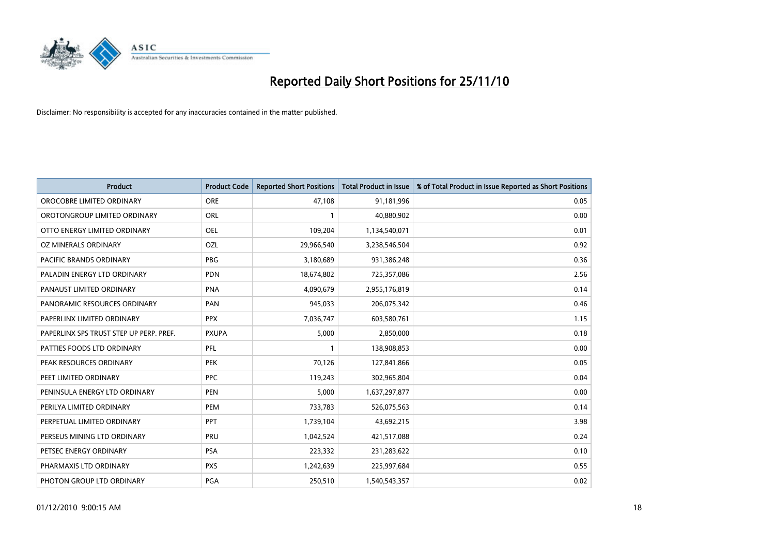

| Product                                 | <b>Product Code</b> | <b>Reported Short Positions</b> | Total Product in Issue | % of Total Product in Issue Reported as Short Positions |
|-----------------------------------------|---------------------|---------------------------------|------------------------|---------------------------------------------------------|
| OROCOBRE LIMITED ORDINARY               | <b>ORE</b>          | 47,108                          | 91,181,996             | 0.05                                                    |
| OROTONGROUP LIMITED ORDINARY            | <b>ORL</b>          |                                 | 40,880,902             | 0.00                                                    |
| OTTO ENERGY LIMITED ORDINARY            | <b>OEL</b>          | 109,204                         | 1,134,540,071          | 0.01                                                    |
| OZ MINERALS ORDINARY                    | OZL                 | 29,966,540                      | 3,238,546,504          | 0.92                                                    |
| <b>PACIFIC BRANDS ORDINARY</b>          | PBG                 | 3,180,689                       | 931,386,248            | 0.36                                                    |
| PALADIN ENERGY LTD ORDINARY             | <b>PDN</b>          | 18,674,802                      | 725,357,086            | 2.56                                                    |
| PANAUST LIMITED ORDINARY                | <b>PNA</b>          | 4,090,679                       | 2,955,176,819          | 0.14                                                    |
| PANORAMIC RESOURCES ORDINARY            | PAN                 | 945,033                         | 206,075,342            | 0.46                                                    |
| PAPERLINX LIMITED ORDINARY              | <b>PPX</b>          | 7,036,747                       | 603,580,761            | 1.15                                                    |
| PAPERLINX SPS TRUST STEP UP PERP. PREF. | <b>PXUPA</b>        | 5,000                           | 2,850,000              | 0.18                                                    |
| PATTIES FOODS LTD ORDINARY              | PFL                 |                                 | 138,908,853            | 0.00                                                    |
| PEAK RESOURCES ORDINARY                 | <b>PEK</b>          | 70,126                          | 127,841,866            | 0.05                                                    |
| PEET LIMITED ORDINARY                   | <b>PPC</b>          | 119,243                         | 302,965,804            | 0.04                                                    |
| PENINSULA ENERGY LTD ORDINARY           | <b>PEN</b>          | 5,000                           | 1,637,297,877          | 0.00                                                    |
| PERILYA LIMITED ORDINARY                | PEM                 | 733,783                         | 526,075,563            | 0.14                                                    |
| PERPETUAL LIMITED ORDINARY              | PPT                 | 1,739,104                       | 43,692,215             | 3.98                                                    |
| PERSEUS MINING LTD ORDINARY             | PRU                 | 1,042,524                       | 421,517,088            | 0.24                                                    |
| PETSEC ENERGY ORDINARY                  | PSA                 | 223,332                         | 231,283,622            | 0.10                                                    |
| PHARMAXIS LTD ORDINARY                  | <b>PXS</b>          | 1,242,639                       | 225,997,684            | 0.55                                                    |
| PHOTON GROUP LTD ORDINARY               | PGA                 | 250,510                         | 1,540,543,357          | 0.02                                                    |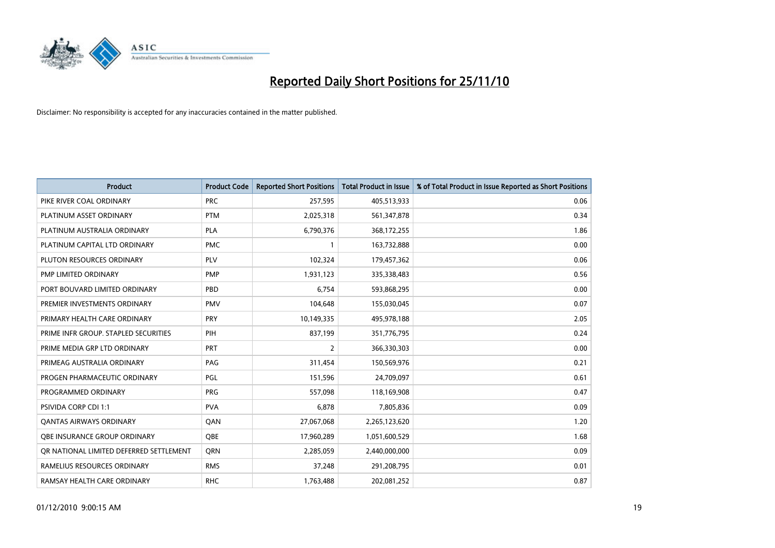

| Product                                 | <b>Product Code</b> | <b>Reported Short Positions</b> | Total Product in Issue | % of Total Product in Issue Reported as Short Positions |
|-----------------------------------------|---------------------|---------------------------------|------------------------|---------------------------------------------------------|
| PIKE RIVER COAL ORDINARY                | <b>PRC</b>          | 257,595                         | 405,513,933            | 0.06                                                    |
| PLATINUM ASSET ORDINARY                 | <b>PTM</b>          | 2,025,318                       | 561,347,878            | 0.34                                                    |
| PLATINUM AUSTRALIA ORDINARY             | <b>PLA</b>          | 6,790,376                       | 368,172,255            | 1.86                                                    |
| PLATINUM CAPITAL LTD ORDINARY           | <b>PMC</b>          |                                 | 163,732,888            | 0.00                                                    |
| PLUTON RESOURCES ORDINARY               | <b>PLV</b>          | 102,324                         | 179,457,362            | 0.06                                                    |
| PMP LIMITED ORDINARY                    | <b>PMP</b>          | 1,931,123                       | 335,338,483            | 0.56                                                    |
| PORT BOUVARD LIMITED ORDINARY           | PBD                 | 6,754                           | 593,868,295            | 0.00                                                    |
| PREMIER INVESTMENTS ORDINARY            | <b>PMV</b>          | 104,648                         | 155,030,045            | 0.07                                                    |
| PRIMARY HEALTH CARE ORDINARY            | <b>PRY</b>          | 10,149,335                      | 495,978,188            | 2.05                                                    |
| PRIME INFR GROUP. STAPLED SECURITIES    | PIH                 | 837,199                         | 351,776,795            | 0.24                                                    |
| PRIME MEDIA GRP LTD ORDINARY            | <b>PRT</b>          | 2                               | 366,330,303            | 0.00                                                    |
| PRIMEAG AUSTRALIA ORDINARY              | PAG                 | 311,454                         | 150,569,976            | 0.21                                                    |
| PROGEN PHARMACEUTIC ORDINARY            | <b>PGL</b>          | 151,596                         | 24,709,097             | 0.61                                                    |
| PROGRAMMED ORDINARY                     | PRG                 | 557,098                         | 118,169,908            | 0.47                                                    |
| PSIVIDA CORP CDI 1:1                    | <b>PVA</b>          | 6,878                           | 7,805,836              | 0.09                                                    |
| <b>QANTAS AIRWAYS ORDINARY</b>          | QAN                 | 27,067,068                      | 2,265,123,620          | 1.20                                                    |
| <b>OBE INSURANCE GROUP ORDINARY</b>     | <b>OBE</b>          | 17,960,289                      | 1,051,600,529          | 1.68                                                    |
| OR NATIONAL LIMITED DEFERRED SETTLEMENT | <b>ORN</b>          | 2,285,059                       | 2,440,000,000          | 0.09                                                    |
| RAMELIUS RESOURCES ORDINARY             | <b>RMS</b>          | 37,248                          | 291,208,795            | 0.01                                                    |
| RAMSAY HEALTH CARE ORDINARY             | <b>RHC</b>          | 1,763,488                       | 202,081,252            | 0.87                                                    |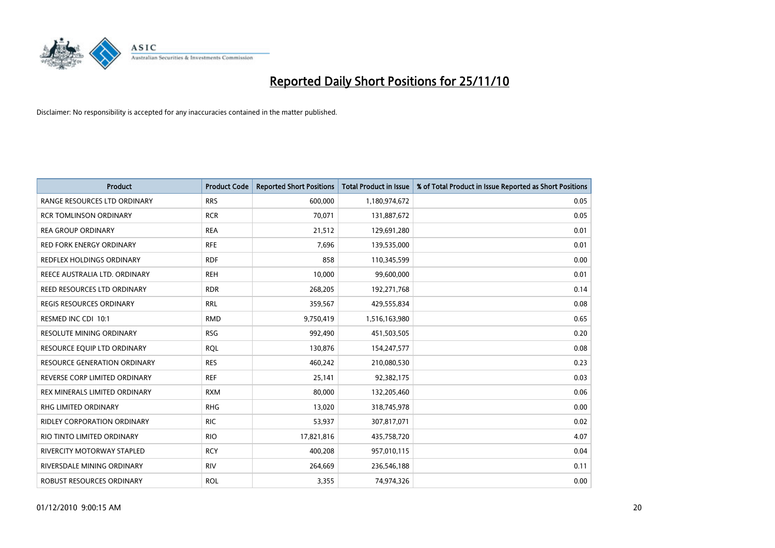

| <b>Product</b>                       | <b>Product Code</b> | <b>Reported Short Positions</b> | <b>Total Product in Issue</b> | % of Total Product in Issue Reported as Short Positions |
|--------------------------------------|---------------------|---------------------------------|-------------------------------|---------------------------------------------------------|
| <b>RANGE RESOURCES LTD ORDINARY</b>  | <b>RRS</b>          | 600,000                         | 1,180,974,672                 | 0.05                                                    |
| <b>RCR TOMLINSON ORDINARY</b>        | <b>RCR</b>          | 70,071                          | 131,887,672                   | 0.05                                                    |
| <b>REA GROUP ORDINARY</b>            | <b>REA</b>          | 21,512                          | 129,691,280                   | 0.01                                                    |
| RED FORK ENERGY ORDINARY             | <b>RFE</b>          | 7,696                           | 139,535,000                   | 0.01                                                    |
| REDFLEX HOLDINGS ORDINARY            | <b>RDF</b>          | 858                             | 110,345,599                   | 0.00                                                    |
| REECE AUSTRALIA LTD. ORDINARY        | <b>REH</b>          | 10,000                          | 99,600,000                    | 0.01                                                    |
| REED RESOURCES LTD ORDINARY          | <b>RDR</b>          | 268,205                         | 192,271,768                   | 0.14                                                    |
| <b>REGIS RESOURCES ORDINARY</b>      | <b>RRL</b>          | 359,567                         | 429,555,834                   | 0.08                                                    |
| RESMED INC CDI 10:1                  | <b>RMD</b>          | 9,750,419                       | 1,516,163,980                 | 0.65                                                    |
| <b>RESOLUTE MINING ORDINARY</b>      | <b>RSG</b>          | 992,490                         | 451,503,505                   | 0.20                                                    |
| RESOURCE EQUIP LTD ORDINARY          | <b>RQL</b>          | 130,876                         | 154,247,577                   | 0.08                                                    |
| <b>RESOURCE GENERATION ORDINARY</b>  | <b>RES</b>          | 460,242                         | 210,080,530                   | 0.23                                                    |
| REVERSE CORP LIMITED ORDINARY        | <b>REF</b>          | 25,141                          | 92,382,175                    | 0.03                                                    |
| <b>REX MINERALS LIMITED ORDINARY</b> | <b>RXM</b>          | 80,000                          | 132,205,460                   | 0.06                                                    |
| <b>RHG LIMITED ORDINARY</b>          | <b>RHG</b>          | 13,020                          | 318,745,978                   | 0.00                                                    |
| RIDLEY CORPORATION ORDINARY          | <b>RIC</b>          | 53,937                          | 307,817,071                   | 0.02                                                    |
| RIO TINTO LIMITED ORDINARY           | <b>RIO</b>          | 17,821,816                      | 435,758,720                   | 4.07                                                    |
| RIVERCITY MOTORWAY STAPLED           | <b>RCY</b>          | 400,208                         | 957,010,115                   | 0.04                                                    |
| RIVERSDALE MINING ORDINARY           | <b>RIV</b>          | 264,669                         | 236,546,188                   | 0.11                                                    |
| ROBUST RESOURCES ORDINARY            | <b>ROL</b>          | 3,355                           | 74.974.326                    | 0.00                                                    |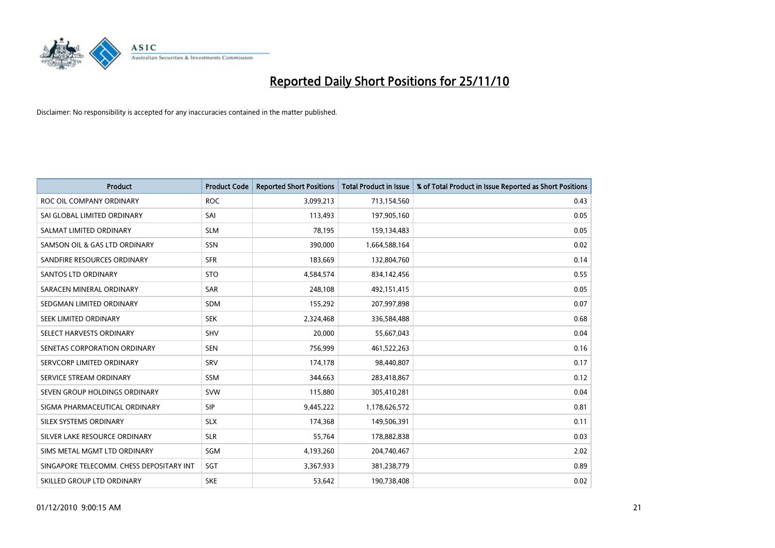

| <b>Product</b>                           | <b>Product Code</b> | <b>Reported Short Positions</b> | <b>Total Product in Issue</b> | % of Total Product in Issue Reported as Short Positions |
|------------------------------------------|---------------------|---------------------------------|-------------------------------|---------------------------------------------------------|
| ROC OIL COMPANY ORDINARY                 | <b>ROC</b>          | 3,099,213                       | 713,154,560                   | 0.43                                                    |
| SAI GLOBAL LIMITED ORDINARY              | SAI                 | 113,493                         | 197,905,160                   | 0.05                                                    |
| SALMAT LIMITED ORDINARY                  | <b>SLM</b>          | 78,195                          | 159,134,483                   | 0.05                                                    |
| SAMSON OIL & GAS LTD ORDINARY            | SSN                 | 390,000                         | 1,664,588,164                 | 0.02                                                    |
| SANDFIRE RESOURCES ORDINARY              | <b>SFR</b>          | 183,669                         | 132,804,760                   | 0.14                                                    |
| <b>SANTOS LTD ORDINARY</b>               | <b>STO</b>          | 4,584,574                       | 834,142,456                   | 0.55                                                    |
| SARACEN MINERAL ORDINARY                 | <b>SAR</b>          | 248,108                         | 492,151,415                   | 0.05                                                    |
| SEDGMAN LIMITED ORDINARY                 | <b>SDM</b>          | 155,292                         | 207,997,898                   | 0.07                                                    |
| SEEK LIMITED ORDINARY                    | <b>SEK</b>          | 2,324,468                       | 336,584,488                   | 0.68                                                    |
| SELECT HARVESTS ORDINARY                 | SHV                 | 20,000                          | 55,667,043                    | 0.04                                                    |
| SENETAS CORPORATION ORDINARY             | <b>SEN</b>          | 756,999                         | 461,522,263                   | 0.16                                                    |
| SERVCORP LIMITED ORDINARY                | SRV                 | 174,178                         | 98,440,807                    | 0.17                                                    |
| SERVICE STREAM ORDINARY                  | <b>SSM</b>          | 344,663                         | 283,418,867                   | 0.12                                                    |
| SEVEN GROUP HOLDINGS ORDINARY            | <b>SVW</b>          | 115,880                         | 305,410,281                   | 0.04                                                    |
| SIGMA PHARMACEUTICAL ORDINARY            | <b>SIP</b>          | 9,445,222                       | 1,178,626,572                 | 0.81                                                    |
| SILEX SYSTEMS ORDINARY                   | <b>SLX</b>          | 174,368                         | 149,506,391                   | 0.11                                                    |
| SILVER LAKE RESOURCE ORDINARY            | <b>SLR</b>          | 55,764                          | 178,882,838                   | 0.03                                                    |
| SIMS METAL MGMT LTD ORDINARY             | <b>SGM</b>          | 4,193,260                       | 204,740,467                   | 2.02                                                    |
| SINGAPORE TELECOMM. CHESS DEPOSITARY INT | SGT                 | 3,367,933                       | 381,238,779                   | 0.89                                                    |
| SKILLED GROUP LTD ORDINARY               | <b>SKE</b>          | 53,642                          | 190,738,408                   | 0.02                                                    |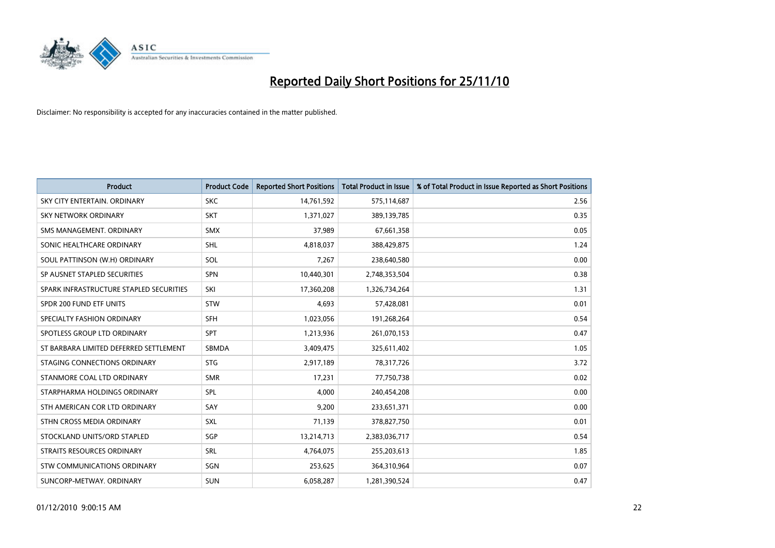

| Product                                 | <b>Product Code</b> | <b>Reported Short Positions</b> | <b>Total Product in Issue</b> | % of Total Product in Issue Reported as Short Positions |
|-----------------------------------------|---------------------|---------------------------------|-------------------------------|---------------------------------------------------------|
| SKY CITY ENTERTAIN, ORDINARY            | <b>SKC</b>          | 14,761,592                      | 575,114,687                   | 2.56                                                    |
| SKY NETWORK ORDINARY                    | <b>SKT</b>          | 1,371,027                       | 389,139,785                   | 0.35                                                    |
| SMS MANAGEMENT, ORDINARY                | SMX                 | 37,989                          | 67,661,358                    | 0.05                                                    |
| SONIC HEALTHCARE ORDINARY               | <b>SHL</b>          | 4,818,037                       | 388,429,875                   | 1.24                                                    |
| SOUL PATTINSON (W.H) ORDINARY           | SOL                 | 7,267                           | 238,640,580                   | 0.00                                                    |
| SP AUSNET STAPLED SECURITIES            | <b>SPN</b>          | 10,440,301                      | 2,748,353,504                 | 0.38                                                    |
| SPARK INFRASTRUCTURE STAPLED SECURITIES | SKI                 | 17,360,208                      | 1,326,734,264                 | 1.31                                                    |
| SPDR 200 FUND ETF UNITS                 | <b>STW</b>          | 4,693                           | 57,428,081                    | 0.01                                                    |
| SPECIALTY FASHION ORDINARY              | <b>SFH</b>          | 1,023,056                       | 191,268,264                   | 0.54                                                    |
| SPOTLESS GROUP LTD ORDINARY             | <b>SPT</b>          | 1,213,936                       | 261,070,153                   | 0.47                                                    |
| ST BARBARA LIMITED DEFERRED SETTLEMENT  | SBMDA               | 3,409,475                       | 325,611,402                   | 1.05                                                    |
| STAGING CONNECTIONS ORDINARY            | <b>STG</b>          | 2,917,189                       | 78,317,726                    | 3.72                                                    |
| STANMORE COAL LTD ORDINARY              | <b>SMR</b>          | 17,231                          | 77,750,738                    | 0.02                                                    |
| STARPHARMA HOLDINGS ORDINARY            | SPL                 | 4,000                           | 240,454,208                   | 0.00                                                    |
| STH AMERICAN COR LTD ORDINARY           | SAY                 | 9,200                           | 233,651,371                   | 0.00                                                    |
| STHN CROSS MEDIA ORDINARY               | <b>SXL</b>          | 71,139                          | 378,827,750                   | 0.01                                                    |
| STOCKLAND UNITS/ORD STAPLED             | SGP                 | 13,214,713                      | 2,383,036,717                 | 0.54                                                    |
| STRAITS RESOURCES ORDINARY              | <b>SRL</b>          | 4,764,075                       | 255,203,613                   | 1.85                                                    |
| STW COMMUNICATIONS ORDINARY             | SGN                 | 253,625                         | 364,310,964                   | 0.07                                                    |
| SUNCORP-METWAY, ORDINARY                | <b>SUN</b>          | 6,058,287                       | 1,281,390,524                 | 0.47                                                    |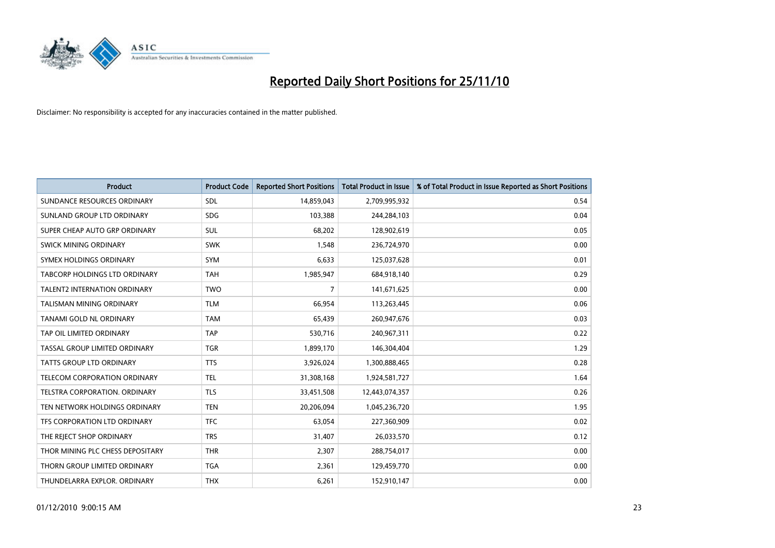

| Product                             | <b>Product Code</b> | <b>Reported Short Positions</b> | Total Product in Issue | % of Total Product in Issue Reported as Short Positions |
|-------------------------------------|---------------------|---------------------------------|------------------------|---------------------------------------------------------|
| SUNDANCE RESOURCES ORDINARY         | <b>SDL</b>          | 14,859,043                      | 2,709,995,932          | 0.54                                                    |
| SUNLAND GROUP LTD ORDINARY          | <b>SDG</b>          | 103,388                         | 244,284,103            | 0.04                                                    |
| SUPER CHEAP AUTO GRP ORDINARY       | <b>SUL</b>          | 68,202                          | 128,902,619            | 0.05                                                    |
| SWICK MINING ORDINARY               | <b>SWK</b>          | 1,548                           | 236,724,970            | 0.00                                                    |
| SYMEX HOLDINGS ORDINARY             | <b>SYM</b>          | 6,633                           | 125,037,628            | 0.01                                                    |
| TABCORP HOLDINGS LTD ORDINARY       | <b>TAH</b>          | 1,985,947                       | 684,918,140            | 0.29                                                    |
| <b>TALENT2 INTERNATION ORDINARY</b> | <b>TWO</b>          | 7                               | 141,671,625            | 0.00                                                    |
| <b>TALISMAN MINING ORDINARY</b>     | <b>TLM</b>          | 66,954                          | 113,263,445            | 0.06                                                    |
| TANAMI GOLD NL ORDINARY             | <b>TAM</b>          | 65,439                          | 260,947,676            | 0.03                                                    |
| TAP OIL LIMITED ORDINARY            | <b>TAP</b>          | 530,716                         | 240,967,311            | 0.22                                                    |
| TASSAL GROUP LIMITED ORDINARY       | <b>TGR</b>          | 1,899,170                       | 146,304,404            | 1.29                                                    |
| <b>TATTS GROUP LTD ORDINARY</b>     | <b>TTS</b>          | 3,926,024                       | 1,300,888,465          | 0.28                                                    |
| <b>TELECOM CORPORATION ORDINARY</b> | <b>TEL</b>          | 31,308,168                      | 1,924,581,727          | 1.64                                                    |
| TELSTRA CORPORATION, ORDINARY       | <b>TLS</b>          | 33,451,508                      | 12,443,074,357         | 0.26                                                    |
| TEN NETWORK HOLDINGS ORDINARY       | <b>TEN</b>          | 20,206,094                      | 1,045,236,720          | 1.95                                                    |
| TFS CORPORATION LTD ORDINARY        | <b>TFC</b>          | 63,054                          | 227,360,909            | 0.02                                                    |
| THE REJECT SHOP ORDINARY            | <b>TRS</b>          | 31,407                          | 26,033,570             | 0.12                                                    |
| THOR MINING PLC CHESS DEPOSITARY    | <b>THR</b>          | 2,307                           | 288,754,017            | 0.00                                                    |
| THORN GROUP LIMITED ORDINARY        | <b>TGA</b>          | 2,361                           | 129,459,770            | 0.00                                                    |
| THUNDELARRA EXPLOR. ORDINARY        | <b>THX</b>          | 6,261                           | 152,910,147            | 0.00                                                    |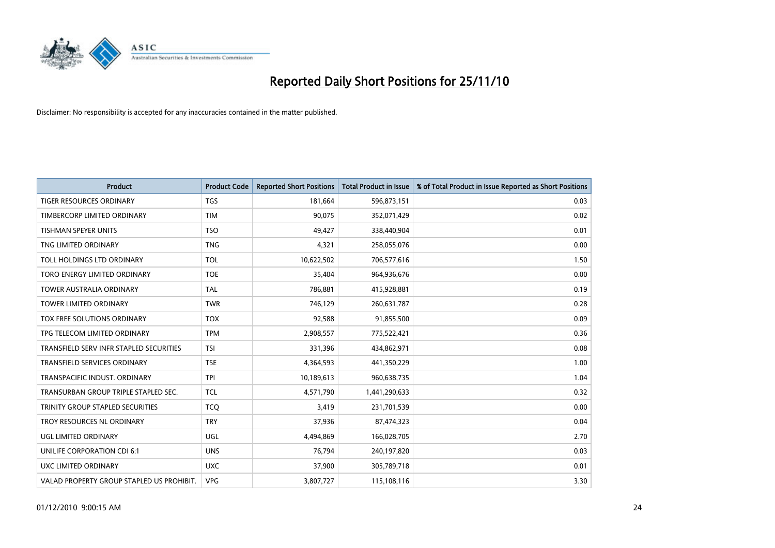

| <b>Product</b>                            | <b>Product Code</b> | <b>Reported Short Positions</b> | Total Product in Issue | % of Total Product in Issue Reported as Short Positions |
|-------------------------------------------|---------------------|---------------------------------|------------------------|---------------------------------------------------------|
| <b>TIGER RESOURCES ORDINARY</b>           | <b>TGS</b>          | 181,664                         | 596,873,151            | 0.03                                                    |
| TIMBERCORP LIMITED ORDINARY               | <b>TIM</b>          | 90.075                          | 352,071,429            | 0.02                                                    |
| <b>TISHMAN SPEYER UNITS</b>               | <b>TSO</b>          | 49,427                          | 338,440,904            | 0.01                                                    |
| TNG LIMITED ORDINARY                      | <b>TNG</b>          | 4,321                           | 258,055,076            | 0.00                                                    |
| <b>TOLL HOLDINGS LTD ORDINARY</b>         | <b>TOL</b>          | 10,622,502                      | 706,577,616            | 1.50                                                    |
| TORO ENERGY LIMITED ORDINARY              | <b>TOE</b>          | 35,404                          | 964,936,676            | 0.00                                                    |
| TOWER AUSTRALIA ORDINARY                  | <b>TAL</b>          | 786,881                         | 415,928,881            | 0.19                                                    |
| TOWER LIMITED ORDINARY                    | <b>TWR</b>          | 746,129                         | 260,631,787            | 0.28                                                    |
| <b>TOX FREE SOLUTIONS ORDINARY</b>        | <b>TOX</b>          | 92,588                          | 91,855,500             | 0.09                                                    |
| TPG TELECOM LIMITED ORDINARY              | <b>TPM</b>          | 2,908,557                       | 775,522,421            | 0.36                                                    |
| TRANSFIELD SERV INFR STAPLED SECURITIES   | <b>TSI</b>          | 331,396                         | 434,862,971            | 0.08                                                    |
| <b>TRANSFIELD SERVICES ORDINARY</b>       | <b>TSE</b>          | 4,364,593                       | 441,350,229            | 1.00                                                    |
| TRANSPACIFIC INDUST, ORDINARY             | <b>TPI</b>          | 10,189,613                      | 960,638,735            | 1.04                                                    |
| TRANSURBAN GROUP TRIPLE STAPLED SEC.      | <b>TCL</b>          | 4,571,790                       | 1,441,290,633          | 0.32                                                    |
| TRINITY GROUP STAPLED SECURITIES          | <b>TCO</b>          | 3,419                           | 231,701,539            | 0.00                                                    |
| TROY RESOURCES NL ORDINARY                | <b>TRY</b>          | 37,936                          | 87,474,323             | 0.04                                                    |
| <b>UGL LIMITED ORDINARY</b>               | UGL                 | 4,494,869                       | 166,028,705            | 2.70                                                    |
| UNILIFE CORPORATION CDI 6:1               | <b>UNS</b>          | 76,794                          | 240,197,820            | 0.03                                                    |
| <b>UXC LIMITED ORDINARY</b>               | <b>UXC</b>          | 37,900                          | 305,789,718            | 0.01                                                    |
| VALAD PROPERTY GROUP STAPLED US PROHIBIT. | <b>VPG</b>          | 3,807,727                       | 115,108,116            | 3.30                                                    |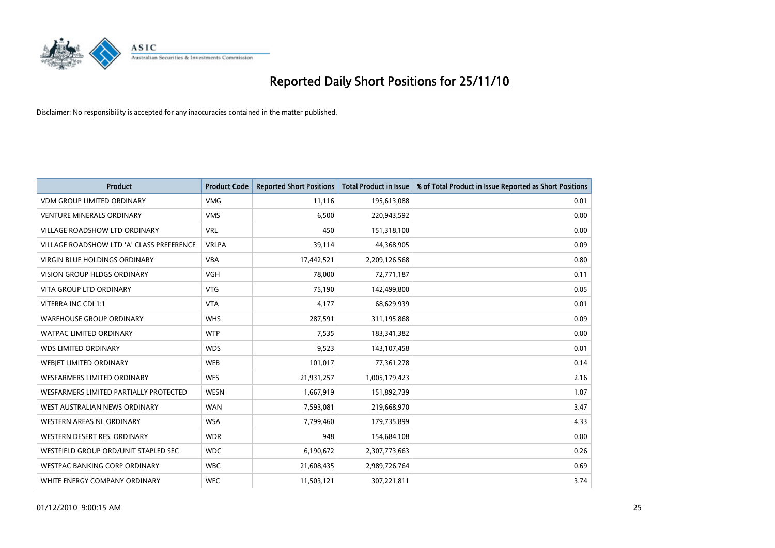

| Product                                   | <b>Product Code</b> | <b>Reported Short Positions</b> | <b>Total Product in Issue</b> | % of Total Product in Issue Reported as Short Positions |
|-------------------------------------------|---------------------|---------------------------------|-------------------------------|---------------------------------------------------------|
| <b>VDM GROUP LIMITED ORDINARY</b>         | <b>VMG</b>          | 11,116                          | 195,613,088                   | 0.01                                                    |
| <b>VENTURE MINERALS ORDINARY</b>          | <b>VMS</b>          | 6,500                           | 220,943,592                   | 0.00                                                    |
| <b>VILLAGE ROADSHOW LTD ORDINARY</b>      | <b>VRL</b>          | 450                             | 151,318,100                   | 0.00                                                    |
| VILLAGE ROADSHOW LTD 'A' CLASS PREFERENCE | <b>VRLPA</b>        | 39,114                          | 44,368,905                    | 0.09                                                    |
| <b>VIRGIN BLUE HOLDINGS ORDINARY</b>      | <b>VBA</b>          | 17,442,521                      | 2,209,126,568                 | 0.80                                                    |
| <b>VISION GROUP HLDGS ORDINARY</b>        | <b>VGH</b>          | 78,000                          | 72,771,187                    | 0.11                                                    |
| <b>VITA GROUP LTD ORDINARY</b>            | <b>VTG</b>          | 75,190                          | 142,499,800                   | 0.05                                                    |
| VITERRA INC CDI 1:1                       | <b>VTA</b>          | 4,177                           | 68,629,939                    | 0.01                                                    |
| <b>WAREHOUSE GROUP ORDINARY</b>           | <b>WHS</b>          | 287,591                         | 311,195,868                   | 0.09                                                    |
| <b>WATPAC LIMITED ORDINARY</b>            | <b>WTP</b>          | 7,535                           | 183,341,382                   | 0.00                                                    |
| <b>WDS LIMITED ORDINARY</b>               | <b>WDS</b>          | 9,523                           | 143,107,458                   | 0.01                                                    |
| WEBJET LIMITED ORDINARY                   | <b>WEB</b>          | 101,017                         | 77,361,278                    | 0.14                                                    |
| <b>WESFARMERS LIMITED ORDINARY</b>        | <b>WES</b>          | 21,931,257                      | 1,005,179,423                 | 2.16                                                    |
| WESFARMERS LIMITED PARTIALLY PROTECTED    | <b>WESN</b>         | 1,667,919                       | 151,892,739                   | 1.07                                                    |
| WEST AUSTRALIAN NEWS ORDINARY             | <b>WAN</b>          | 7,593,081                       | 219,668,970                   | 3.47                                                    |
| WESTERN AREAS NL ORDINARY                 | <b>WSA</b>          | 7,799,460                       | 179,735,899                   | 4.33                                                    |
| WESTERN DESERT RES. ORDINARY              | <b>WDR</b>          | 948                             | 154,684,108                   | 0.00                                                    |
| WESTFIELD GROUP ORD/UNIT STAPLED SEC      | <b>WDC</b>          | 6,190,672                       | 2,307,773,663                 | 0.26                                                    |
| <b>WESTPAC BANKING CORP ORDINARY</b>      | <b>WBC</b>          | 21,608,435                      | 2,989,726,764                 | 0.69                                                    |
| WHITE ENERGY COMPANY ORDINARY             | <b>WEC</b>          | 11,503,121                      | 307,221,811                   | 3.74                                                    |